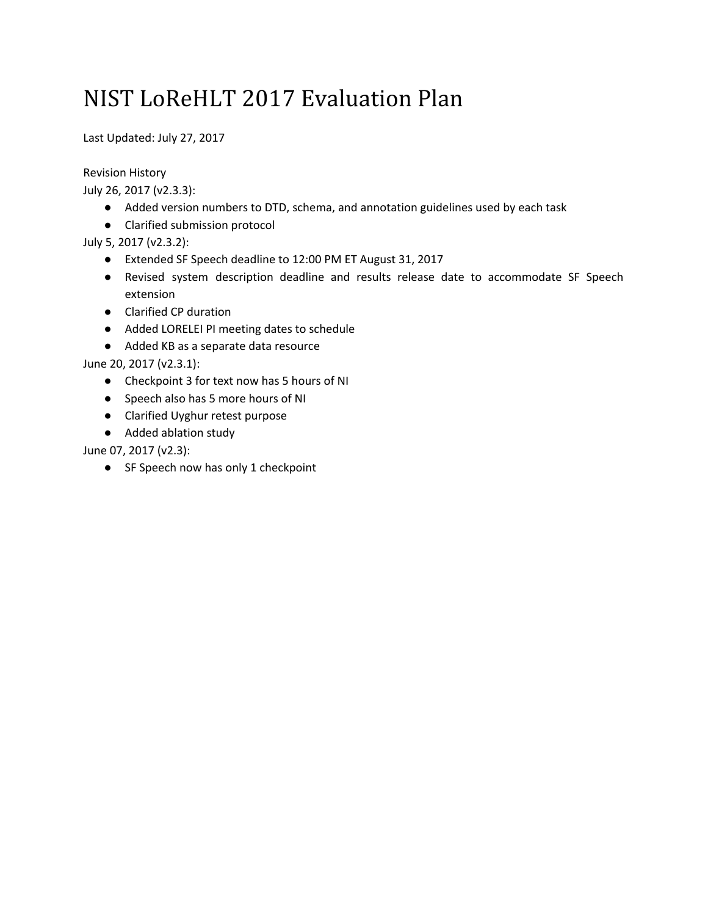# NIST LoReHLT 2017 Evaluation Plan

Last Updated: July 27, 2017

Revision History

July 26, 2017 (v2.3.3):

- Added version numbers to DTD, schema, and annotation guidelines used by each task
- Clarified submission protocol

July 5, 2017 (v2.3.2):

- Extended SF Speech deadline to 12:00 PM ET August 31, 2017
- Revised system description deadline and results release date to accommodate SF Speech extension
- Clarified CP duration
- Added LORELEI PI meeting dates to schedule
- Added KB as a separate data resource

June 20, 2017 (v2.3.1):

- Checkpoint 3 for text now has 5 hours of NI
- Speech also has 5 more hours of NI
- Clarified Uyghur retest purpose
- Added ablation study

June 07, 2017 (v2.3):

● SF Speech now has only 1 checkpoint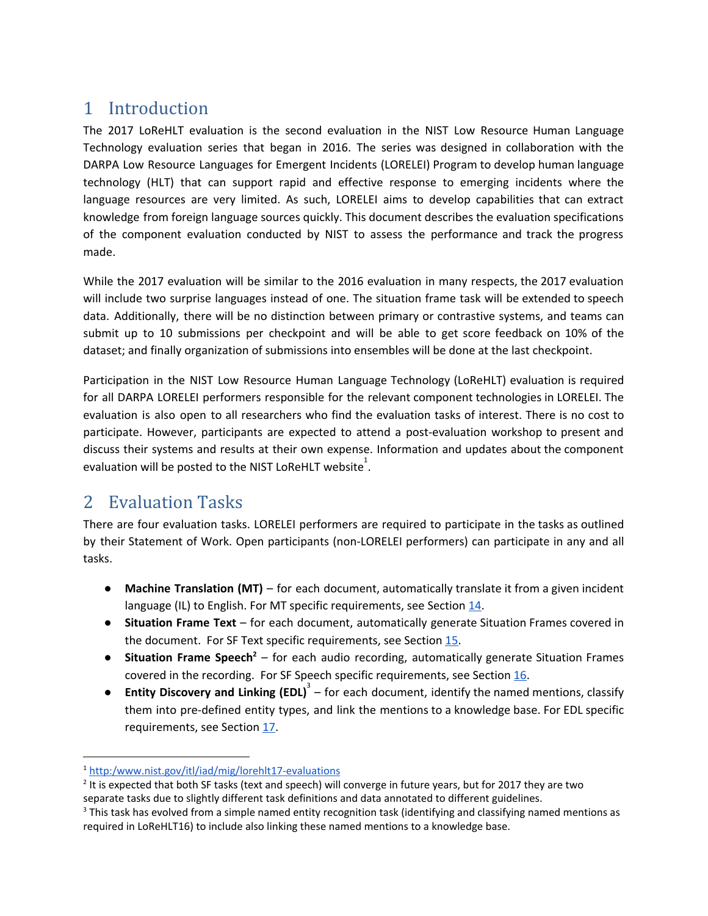## 1 Introduction

The 2017 LoReHLT evaluation is the second evaluation in the NIST Low Resource Human Language Technology evaluation series that began in 2016. The series was designed in collaboration with the DARPA Low Resource Languages for Emergent Incidents (LORELEI) Program to develop human language technology (HLT) that can support rapid and effective response to emerging incidents where the language resources are very limited. As such, LORELEI aims to develop capabilities that can extract knowledge from foreign language sources quickly. This document describes the evaluation specifications of the component evaluation conducted by NIST to assess the performance and track the progress made.

While the 2017 evaluation will be similar to the 2016 evaluation in many respects, the 2017 evaluation will include two surprise languages instead of one. The situation frame task will be extended to speech data. Additionally, there will be no distinction between primary or contrastive systems, and teams can submit up to 10 submissions per checkpoint and will be able to get score feedback on 10% of the dataset; and finally organization of submissions into ensembles will be done at the last checkpoint.

Participation in the NIST Low Resource Human Language Technology (LoReHLT) evaluation is required for all DARPA LORELEI performers responsible for the relevant component technologies in LORELEI. The evaluation is also open to all researchers who find the evaluation tasks of interest. There is no cost to participate. However, participants are expected to attend a post-evaluation workshop to present and discuss their systems and results at their own expense. Information and updates about the component evaluation will be posted to the NIST LoReHLT website<sup>1</sup>.

## 2 Evaluation Tasks

There are four evaluation tasks. LORELEI performers are required to participate in the tasks as outlined by their Statement of Work. Open participants (non-LORELEI performers) can participate in any and all tasks.

- **Machine Translation (MT)** for each document, automatically translate it from a given incident language (IL) to English. For MT specific requirements, see Section [14.](#page-13-0)
- **Situation Frame Text** for each document, automatically generate Situation Frames covered in the document. For SF Text specific requirements, see Section [15.](#page-14-0)
- **•** Situation Frame Speech<sup>2</sup> for each audio recording, automatically generate Situation Frames covered in the recording. For SF Speech specific requirements, see Section [16.](#page-18-0)
- **Entity Discovery and Linking (EDL)** for each document, identify the named mentions, classify 3 them into pre-defined entity types, and link the mentions to a knowledge base. For EDL specific requirements, see Section [17](#page-23-0).

<sup>1</sup> [http:/www.nist.gov/itl/iad/mig/lorehlt17-evaluations](http://www.nist.gov/itl/iad/mig/lorehlt17-evaluations)

<sup>&</sup>lt;sup>2</sup> It is expected that both SF tasks (text and speech) will converge in future years, but for 2017 they are two separate tasks due to slightly different task definitions and data annotated to different guidelines.

<sup>&</sup>lt;sup>3</sup> This task has evolved from a simple named entity recognition task (identifying and classifying named mentions as required in LoReHLT16) to include also linking these named mentions to a knowledge base.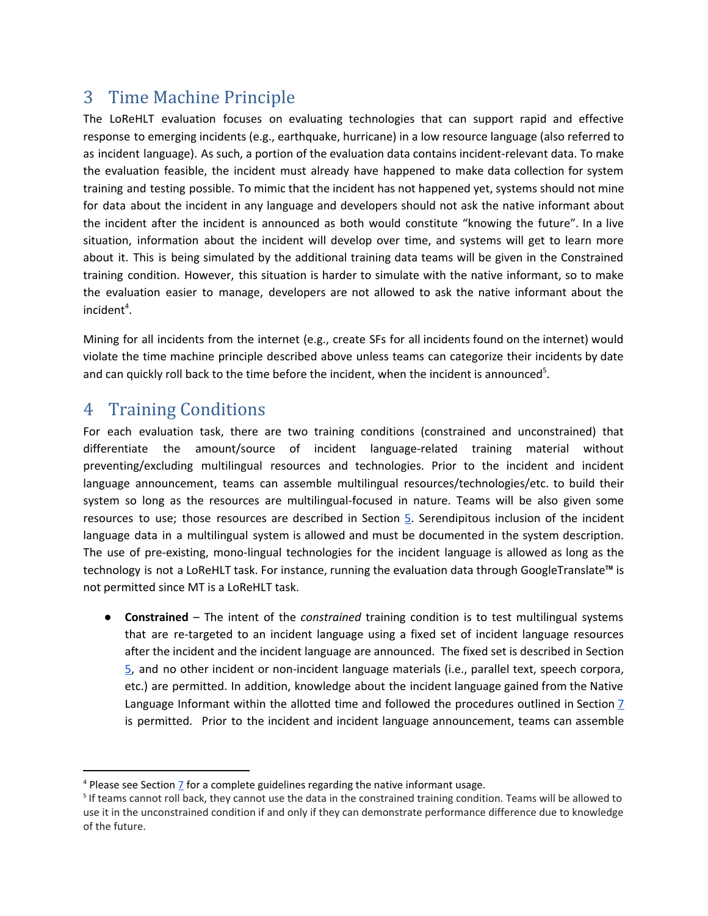## 3 Time Machine Principle

The LoReHLT evaluation focuses on evaluating technologies that can support rapid and effective response to emerging incidents (e.g., earthquake, hurricane) in a low resource language (also referred to as incident language). As such, a portion of the evaluation data contains incident-relevant data. To make the evaluation feasible, the incident must already have happened to make data collection for system training and testing possible. To mimic that the incident has not happened yet, systems should not mine for data about the incident in any language and developers should not ask the native informant about the incident after the incident is announced as both would constitute "knowing the future". In a live situation, information about the incident will develop over time, and systems will get to learn more about it. This is being simulated by the additional training data teams will be given in the Constrained training condition. However, this situation is harder to simulate with the native informant, so to make the evaluation easier to manage, developers are not allowed to ask the native informant about the  $incident<sup>4</sup>$ .

Mining for all incidents from the internet (e.g., create SFs for all incidents found on the internet) would violate the time machine principle described above unless teams can categorize their incidents by date and can quickly roll back to the time before the incident, when the incident is announced<sup>5</sup>.

## 4 Training Conditions

For each evaluation task, there are two training conditions (constrained and unconstrained) that differentiate the amount/source of incident language-related training material without preventing/excluding multilingual resources and technologies. Prior to the incident and incident language announcement, teams can assemble multilingual resources/technologies/etc. to build their system so long as the resources are multilingual-focused in nature. Teams will be also given some resources to use; those resources are described in Section [5.](#page-3-0) Serendipitous inclusion of the incident language data in a multilingual system is allowed and must be documented in the system description. The use of pre-existing, mono-lingual technologies for the incident language is allowed as long as the technology is not a LoReHLT task. For instance, running the evaluation data through GoogleTranslate™ is not permitted since MT is a LoReHLT task.

● **Constrained** – The intent of the *constrained* training condition is to test multilingual systems that are re-targeted to an incident language using a fixed set of incident language resources after the incident and the incident language are announced. The fixed set is described in Section [5,](#page-3-0) and no other incident or non-incident language materials (i.e., parallel text, speech corpora, etc.) are permitted. In addition, knowledge about the incident language gained from the Native Language Informant within the allotted time and followed the procedures outlined in Section  $\overline{I}$ is permitted. Prior to the incident and incident language announcement, teams can assemble

<sup>&</sup>lt;sup>4</sup> Please see Section 7 for a complete guidelines regarding the native informant usage.

<sup>&</sup>lt;sup>5</sup> If teams cannot roll back, they cannot use the data in the constrained training condition. Teams will be allowed to use it in the unconstrained condition if and only if they can demonstrate performance difference due to knowledge of the future.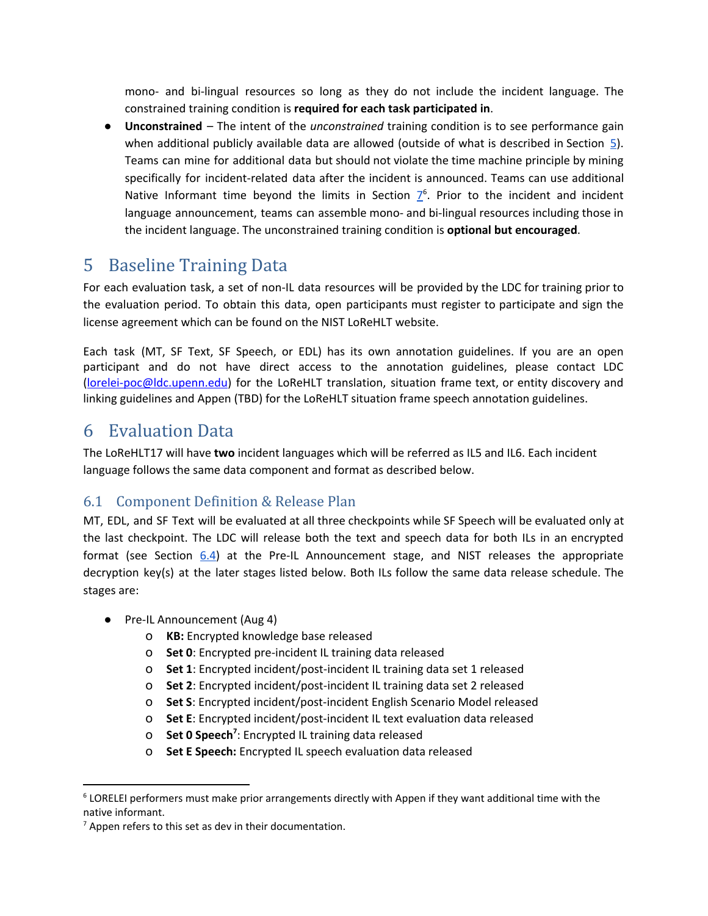mono- and bi-lingual resources so long as they do not include the incident language. The constrained training condition is **required for each task participated in**.

● **Unconstrained** – The intent of the *unconstrained* training condition is to see performance gain when additional publicly available data are allowed (outside of what is described in Section [5\)](#page-3-0). Teams can mine for additional data but should not violate the time machine principle by mining specifically for incident-related data after the incident is announced. Teams can use additional Native Informant time beyond the limits in Section  $Z^6$ . Prior to the incident and incident language announcement, teams can assemble mono- and bi-lingual resources including those in the incident language. The unconstrained training condition is **optional but encouraged**.

## <span id="page-3-0"></span>5 Baseline Training Data

For each evaluation task, a set of non-IL data resources will be provided by the LDC for training prior to the evaluation period. To obtain this data, open participants must register to participate and sign the license agreement which can be found on the NIST LoReHLT website.

Each task (MT, SF Text, SF Speech, or EDL) has its own annotation guidelines. If you are an open participant and do not have direct access to the annotation guidelines, please contact LDC [\(lorelei-poc@ldc.upenn.edu\)](mailto:lorelei-poc@ldc.upenn.edu) for the LoReHLT translation, situation frame text, or entity discovery and linking guidelines and Appen (TBD) for the LoReHLT situation frame speech annotation guidelines.

## 6 Evaluation Data

The LoReHLT17 will have **two** incident languages which will be referred as IL5 and IL6. Each incident language follows the same data component and format as described below.

### 6.1 Component Definition & Release Plan

MT, EDL, and SF Text will be evaluated at all three checkpoints while SF Speech will be evaluated only at the last checkpoint. The LDC will release both the text and speech data for both ILs in an encrypted format (see Section [6.4\)](#page-4-0) at the Pre-IL Announcement stage, and NIST releases the appropriate decryption key(s) at the later stages listed below. Both ILs follow the same data release schedule. The stages are:

- Pre-IL Announcement (Aug 4)
	- o **KB:** Encrypted knowledge base released
	- o **Set 0**: Encrypted pre-incident IL training data released
	- o **Set 1**: Encrypted incident/post-incident IL training data set 1 released
	- o **Set 2**: Encrypted incident/post-incident IL training data set 2 released
	- o **Set S**: Encrypted incident/post-incident English Scenario Model released
	- o **Set E**: Encrypted incident/post-incident IL text evaluation data released
	- **0** Set 0 Speech<sup>7</sup>: Encrypted IL training data released
	- o **Set E Speech:** Encrypted IL speech evaluation data released

<sup>&</sup>lt;sup>6</sup> LORELEI performers must make prior arrangements directly with Appen if they want additional time with the native informant.

 $<sup>7</sup>$  Appen refers to this set as dev in their documentation.</sup>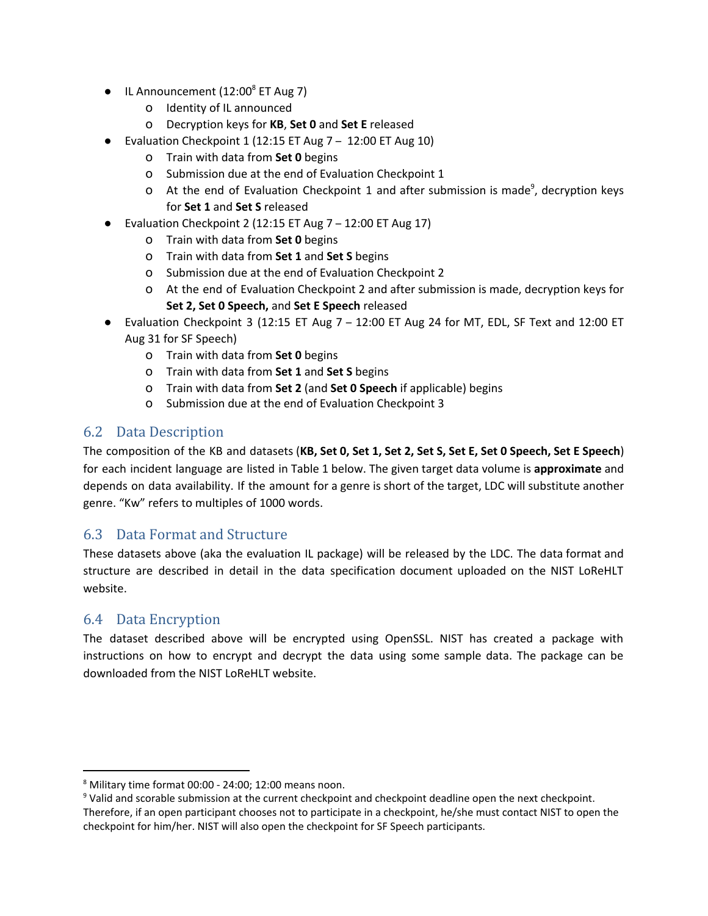- $\bullet$  IL Announcement (12:00 $^8$  ET Aug 7)
	- o Identity of IL announced
	- o Decryption keys for **KB**, **Set 0** and **Set E** released
- Evaluation Checkpoint 1 (12:15 ET Aug 7 12:00 ET Aug 10)
	- o Train with data from **Set 0** begins
	- o Submission due at the end of Evaluation Checkpoint 1
	- $\sigma$  At the end of Evaluation Checkpoint 1 and after submission is made<sup>9</sup>, decryption keys for **Set 1** and **Set S** released
- Evaluation Checkpoint 2 (12:15 ET Aug  $7 12:00$  ET Aug 17)
	- o Train with data from **Set 0** begins
	- o Train with data from **Set 1** and **Set S** begins
	- o Submission due at the end of Evaluation Checkpoint 2
	- o At the end of Evaluation Checkpoint 2 and after submission is made, decryption keys for **Set 2, Set 0 Speech,** and **Set E Speech** released
- Evaluation Checkpoint 3 (12:15 ET Aug 7 12:00 ET Aug 24 for MT, EDL, SF Text and 12:00 ET Aug 31 for SF Speech)
	- o Train with data from **Set 0** begins
	- o Train with data from **Set 1** and **Set S** begins
	- o Train with data from **Set 2** (and **Set 0 Speech** if applicable) begins
	- o Submission due at the end of Evaluation Checkpoint 3

### 6.2 Data Description

The composition of the KB and datasets (KB, Set 0, Set 1, Set 2, Set S, Set E, Set 0 Speech, Set E Speech) for each incident language are listed in Table 1 below. The given target data volume is **approximate** and depends on data availability. If the amount for a genre is short of the target, LDC will substitute another genre. "Kw" refers to multiples of 1000 words.

### 6.3 Data Format and Structure

These datasets above (aka the evaluation IL package) will be released by the LDC. The data format and structure are described in detail in the data specification document uploaded on the NIST LoReHLT website.

### <span id="page-4-0"></span>6.4 Data Encryption

The dataset described above will be encrypted using OpenSSL. NIST has created a package with instructions on how to encrypt and decrypt the data using some sample data. The package can be downloaded from the NIST LoReHLT website.

 $8$  Military time format 00:00 - 24:00; 12:00 means noon.

<sup>&</sup>lt;sup>9</sup> Valid and scorable submission at the current checkpoint and checkpoint deadline open the next checkpoint. Therefore, if an open participant chooses not to participate in a checkpoint, he/she must contact NIST to open the checkpoint for him/her. NIST will also open the checkpoint for SF Speech participants.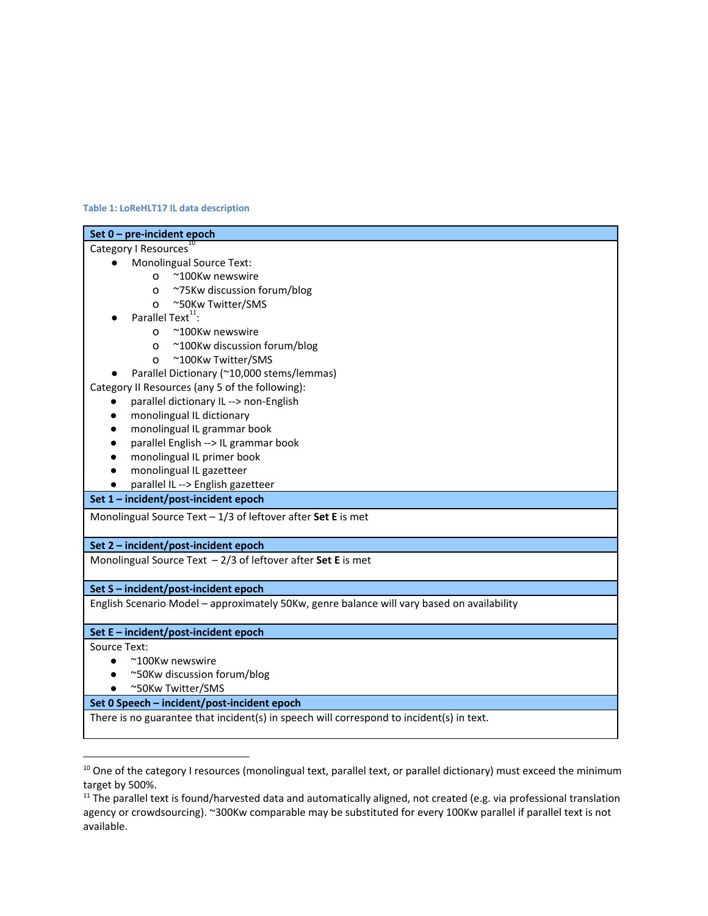#### **Table 1: LoReHLT17 IL data description**

| Set 0 - pre-incident epoch                                                                 |
|--------------------------------------------------------------------------------------------|
| Category I Resources                                                                       |
| <b>Monolingual Source Text:</b>                                                            |
| ~100Kw newswire<br>$\Omega$                                                                |
| ~75Kw discussion forum/blog<br>O                                                           |
| ~50Kw Twitter/SMS<br>$\Omega$                                                              |
| Parallel Text <sup>11</sup> :                                                              |
| ~100Kw newswire<br>$\Omega$                                                                |
| ~100Kw discussion forum/blog<br>o                                                          |
| ~100Kw Twitter/SMS<br>$\circ$                                                              |
| Parallel Dictionary (~10,000 stems/lemmas)                                                 |
| Category II Resources (any 5 of the following):                                            |
| parallel dictionary IL --> non-English                                                     |
| monolingual IL dictionary<br>$\bullet$                                                     |
| monolingual IL grammar book                                                                |
| parallel English --> IL grammar book                                                       |
| monolingual IL primer book                                                                 |
| monolingual IL gazetteer                                                                   |
| parallel IL --> English gazetteer                                                          |
| Set 1 - incident/post-incident epoch                                                       |
| Monolingual Source Text $-1/3$ of leftover after Set E is met                              |
| Set 2 - incident/post-incident epoch                                                       |
| Monolingual Source Text $-2/3$ of leftover after Set E is met                              |
| Set S - incident/post-incident epoch                                                       |
| English Scenario Model - approximately 50Kw, genre balance will vary based on availability |
| Set E - incident/post-incident epoch                                                       |
| Source Text:                                                                               |
| $~\sim$ 100Kw newswire                                                                     |
| ~50Kw discussion forum/blog                                                                |
| ~50Kw Twitter/SMS                                                                          |
| Set 0 Speech - incident/post-incident epoch                                                |
| There is no guarantee that incident(s) in speech will correspond to incident(s) in text.   |
|                                                                                            |

<sup>&</sup>lt;sup>10</sup> One of the category I resources (monolingual text, parallel text, or parallel dictionary) must exceed the minimum target by 500%.

<sup>&</sup>lt;sup>11</sup> The parallel text is found/harvested data and automatically aligned, not created (e.g. via professional translation agency or crowdsourcing). ~300Kw comparable may be substituted for every 100Kw parallel if parallel text is not available.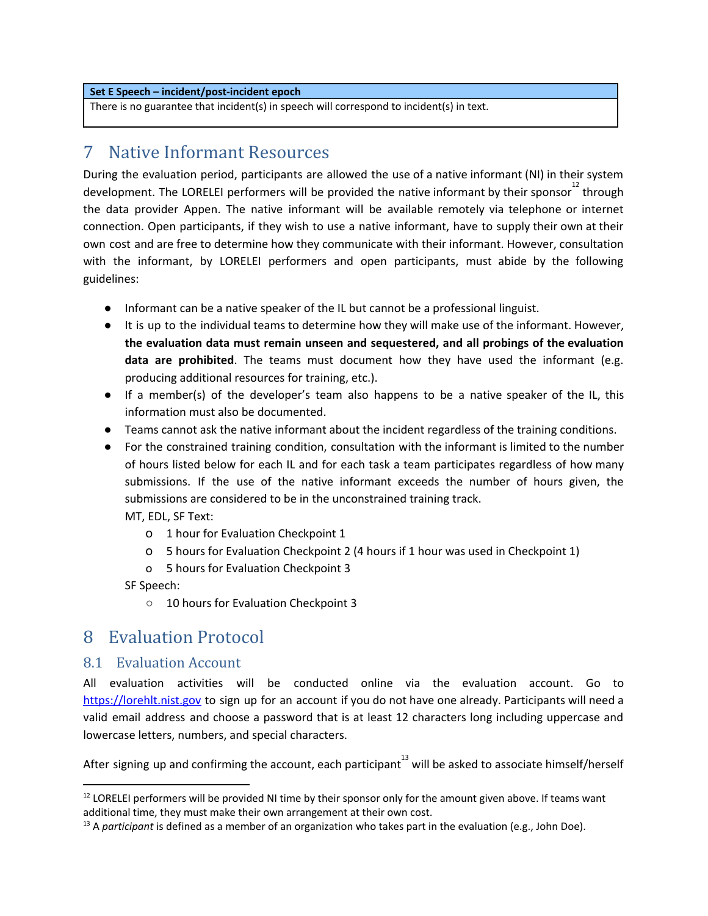#### **Set E Speech – incident/post-incident epoch**

There is no guarantee that incident(s) in speech will correspond to incident(s) in text.

## <span id="page-6-0"></span>7 Native Informant Resources

During the evaluation period, participants are allowed the use of a native informant (NI) in their system development. The LORELEI performers will be provided the native informant by their sponsor $^{12}$  through the data provider Appen. The native informant will be available remotely via telephone or internet connection. Open participants, if they wish to use a native informant, have to supply their own at their own cost and are free to determine how they communicate with their informant. However, consultation with the informant, by LORELEI performers and open participants, must abide by the following guidelines:

- Informant can be a native speaker of the IL but cannot be a professional linguist.
- It is up to the individual teams to determine how they will make use of the informant. However, **the evaluation data must remain unseen and sequestered, and all probings of the evaluation data are prohibited**. The teams must document how they have used the informant (e.g. producing additional resources for training, etc.).
- If a member(s) of the developer's team also happens to be a native speaker of the IL, this information must also be documented.
- Teams cannot ask the native informant about the incident regardless of the training conditions.
- For the constrained training condition, consultation with the informant is limited to the number of hours listed below for each IL and for each task a team participates regardless of how many submissions. If the use of the native informant exceeds the number of hours given, the submissions are considered to be in the unconstrained training track.

MT, EDL, SF Text:

- o 1 hour for Evaluation Checkpoint 1
- o 5 hours for Evaluation Checkpoint 2 (4 hours if 1 hour was used in Checkpoint 1)
- o 5 hours for Evaluation Checkpoint 3

SF Speech:

○ 10 hours for Evaluation Checkpoint 3

## 8 Evaluation Protocol

#### 8.1 Evaluation Account

All evaluation activities will be conducted online via the evaluation account. Go to [https://lorehlt.nist.gov](https://lorehlt.nist.gov/) to sign up for an account if you do not have one already. Participants will need a valid email address and choose a password that is at least 12 characters long including uppercase and lowercase letters, numbers, and special characters.

After signing up and confirming the account, each participant $^{13}$  will be asked to associate himself/herself

 $12$  LORELEI performers will be provided NI time by their sponsor only for the amount given above. If teams want additional time, they must make their own arrangement at their own cost.

<sup>13</sup> A *participant* is defined as a member of an organization who takes part in the evaluation (e.g., John Doe).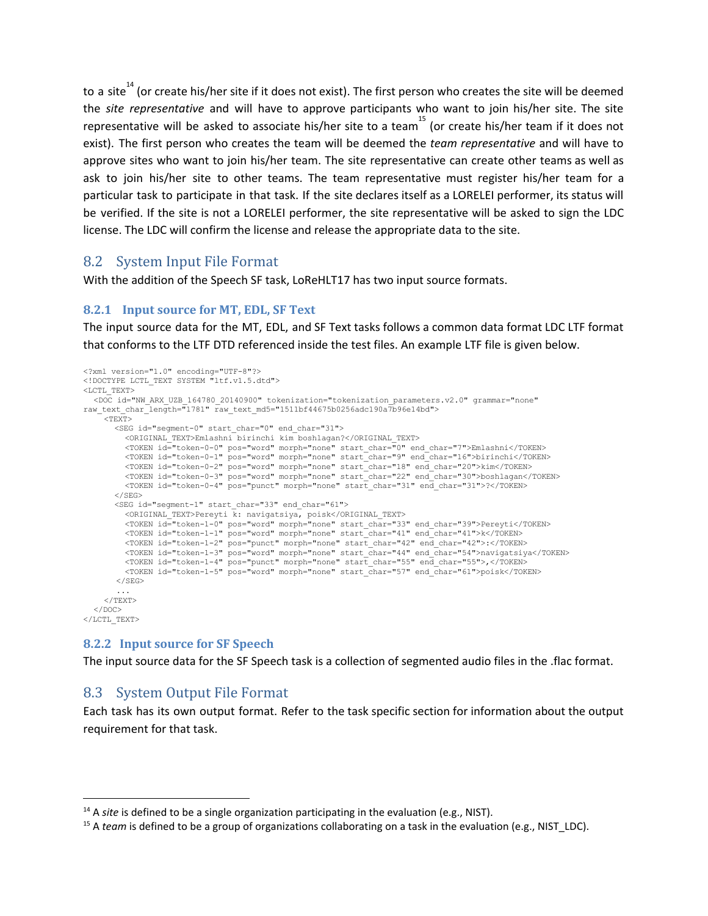to a site $^{14}$  (or create his/her site if it does not exist). The first person who creates the site will be deemed the *site representative* and will have to approve participants who want to join his/her site. The site representative will be asked to associate his/her site to a team $^{15}$  (or create his/her team if it does not exist). The first person who creates the team will be deemed the *team representative* and will have to approve sites who want to join his/her team. The site representative can create other teams as well as ask to join his/her site to other teams. The team representative must register his/her team for a particular task to participate in that task. If the site declares itself as a LORELEI performer, its status will be verified. If the site is not a LORELEI performer, the site representative will be asked to sign the LDC license. The LDC will confirm the license and release the appropriate data to the site.

### 8.2 System Input File Format

With the addition of the Speech SF task, LoReHLT17 has two input source formats.

#### **8.2.1 Input source for MT, EDL, SF Text**

The input source data for the MT, EDL, and SF Text tasks follows a common data format LDC LTF format that conforms to the LTF DTD referenced inside the test files. An example LTF file is given below.

```
<?xml version="1.0" encoding="UTF-8"?>
<!DOCTYPE LCTL_TEXT SYSTEM "ltf.v1.5.dtd">
<LCTL_TEXT>
  <DOC id="NW_ARX_UZB_164780_20140900" tokenization="tokenization_parameters.v2.0" grammar="none"
raw_text_char_length="1781" raw_text_md5="1511bf44675b0256adc190a7b96e14bd">
    <sub>TEXT></sub></sub>
      <SEG id="segment-0" start_char="0" end_char="31">
         <ORIGINAL_TEXT>Emlashni birinchi kim boshlagan?</ORIGINAL_TEXT>
         <TOKEN id="token-0-0" pos="word" morph="none" start_char="0" end_char="7">Emlashni</TOKEN>
         <TOKEN id="token-0-1" pos="word" morph="none" start_char="9" end_char="16">birinchi</TOKEN>
         <TOKEN id="token-0-2" pos="word" morph="none" start_char="18" end_char="20">kim</TOKEN>
         <TOKEN id="token-0-3" pos="word" morph="none" start_char="22" end_char="30">boshlagan</TOKEN>
         <TOKEN id="token-0-4" pos="punct" morph="none" start_char="31" end_char="31">?</TOKEN>
      \langle/SEG>
      <SEG id="segment-1" start_char="33" end_char="61">
         <ORIGINAL_TEXT>Pereyti k: navigatsiya, poisk</ORIGINAL_TEXT>
         <TOKEN id="token-1-0" pos="word" morph="none" start_char="33" end_char="39">Pereyti</TOKEN>
         <TOKEN id="token-1-1" pos="word" morph="none" start_char="41" end_char="41">k</TOKEN>
         <TOKEN id="token-1-2" pos="punct" morph="none" start_char="42" end_char="42">:</TOKEN>
         <TOKEN id="token-1-3" pos="word" morph="none" start_char="44" end_char="54">navigatsiya</TOKEN>
         <TOKEN id="token-1-4" pos="punct" morph="none" start_char="55" end_char="55">,</TOKEN>
         <TOKEN id="token-1-5" pos="word" morph="none" start_char="57" end_char="61">poisk</TOKEN>
       </SEG>
       ...
    </TEXT>
  \langle/DOC\rangle\langle/LCTL_TEXT>
```
#### **8.2.2 Input source for SF Speech**

The input source data for the SF Speech task is a collection of segmented audio files in the .flac format.

### 8.3 System Output File Format

Each task has its own output format. Refer to the task specific section for information about the output requirement for that task.

<sup>14</sup> A *site* is defined to be a single organization participating in the evaluation (e.g., NIST).

<sup>&</sup>lt;sup>15</sup> A *team* is defined to be a group of organizations collaborating on a task in the evaluation (e.g., NIST\_LDC).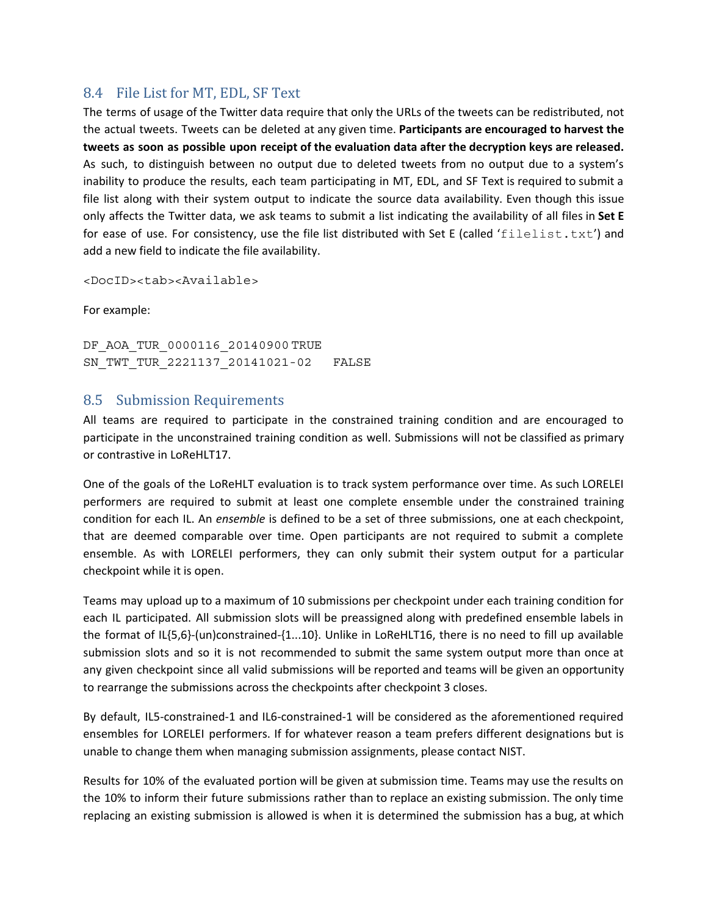### <span id="page-8-0"></span>8.4 File List for MT, EDL, SF Text

The terms of usage of the Twitter data require that only the URLs of the tweets can be redistributed, not the actual tweets. Tweets can be deleted at any given time. **Participants are encouraged to harvest the tweets as soon as possible upon receipt of the evaluation data after the decryption keys are released.** As such, to distinguish between no output due to deleted tweets from no output due to a system's inability to produce the results, each team participating in MT, EDL, and SF Text is required to submit a file list along with their system output to indicate the source data availability. Even though this issue only affects the Twitter data, we ask teams to submit a list indicating the availability of all files in **Set E** for ease of use. For consistency, use the file list distributed with Set E (called 'filelist.txt') and add a new field to indicate the file availability.

<DocID><tab><Available>

For example:

DF\_AOA\_TUR\_0000116\_20140900 TRUE SN\_TWT\_TUR\_2221137\_20141021-02 FALSE

### 8.5 Submission Requirements

All teams are required to participate in the constrained training condition and are encouraged to participate in the unconstrained training condition as well. Submissions will not be classified as primary or contrastive in LoReHLT17.

One of the goals of the LoReHLT evaluation is to track system performance over time. As such LORELEI performers are required to submit at least one complete ensemble under the constrained training condition for each IL. An *ensemble* is defined to be a set of three submissions, one at each checkpoint, that are deemed comparable over time. Open participants are not required to submit a complete ensemble. As with LORELEI performers, they can only submit their system output for a particular checkpoint while it is open.

Teams may upload up to a maximum of 10 submissions per checkpoint under each training condition for each IL participated. All submission slots will be preassigned along with predefined ensemble labels in the format of IL{5,6}-(un)constrained-{1...10}. Unlike in LoReHLT16, there is no need to fill up available submission slots and so it is not recommended to submit the same system output more than once at any given checkpoint since all valid submissions will be reported and teams will be given an opportunity to rearrange the submissions across the checkpoints after checkpoint 3 closes.

By default, IL5-constrained-1 and IL6-constrained-1 will be considered as the aforementioned required ensembles for LORELEI performers. If for whatever reason a team prefers different designations but is unable to change them when managing submission assignments, please contact NIST.

Results for 10% of the evaluated portion will be given at submission time. Teams may use the results on the 10% to inform their future submissions rather than to replace an existing submission. The only time replacing an existing submission is allowed is when it is determined the submission has a bug, at which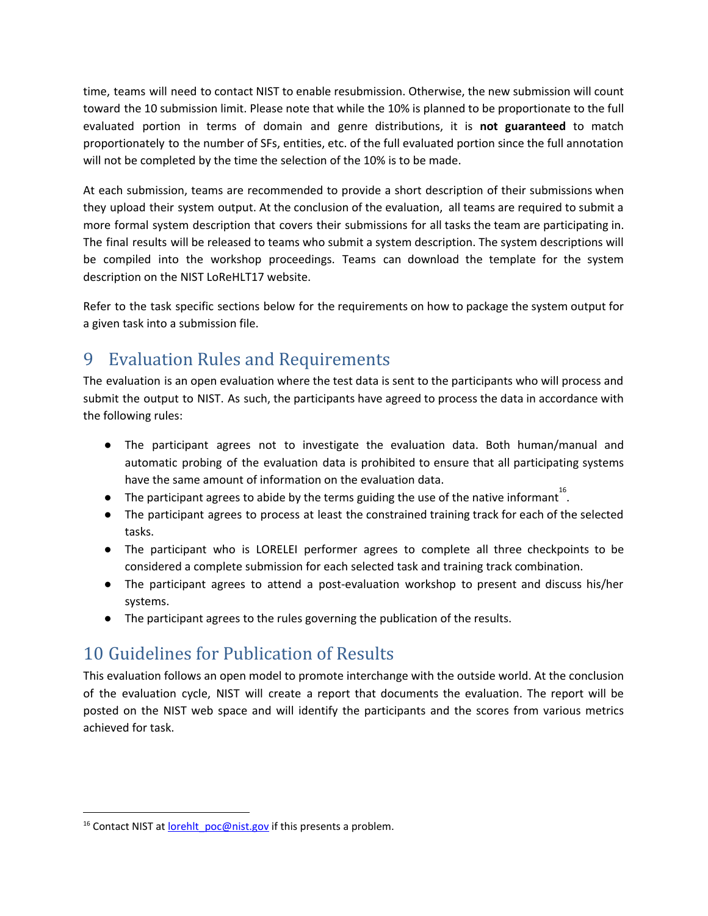time, teams will need to contact NIST to enable resubmission. Otherwise, the new submission will count toward the 10 submission limit. Please note that while the 10% is planned to be proportionate to the full evaluated portion in terms of domain and genre distributions, it is **not guaranteed** to match proportionately to the number of SFs, entities, etc. of the full evaluated portion since the full annotation will not be completed by the time the selection of the 10% is to be made.

At each submission, teams are recommended to provide a short description of their submissions when they upload their system output. At the conclusion of the evaluation, all teams are required to submit a more formal system description that covers their submissions for all tasks the team are participating in. The final results will be released to teams who submit a system description. The system descriptions will be compiled into the workshop proceedings. Teams can download the template for the system description on the NIST LoReHLT17 website.

Refer to the task specific sections below for the requirements on how to package the system output for a given task into a submission file.

## 9 Evaluation Rules and Requirements

The evaluation is an open evaluation where the test data is sent to the participants who will process and submit the output to NIST. As such, the participants have agreed to process the data in accordance with the following rules:

- The participant agrees not to investigate the evaluation data. Both human/manual and automatic probing of the evaluation data is prohibited to ensure that all participating systems have the same amount of information on the evaluation data.
- $\bullet$  The participant agrees to abide by the terms guiding the use of the native informant<sup>16</sup>.
- The participant agrees to process at least the constrained training track for each of the selected tasks.
- The participant who is LORELEI performer agrees to complete all three checkpoints to be considered a complete submission for each selected task and training track combination.
- The participant agrees to attend a post-evaluation workshop to present and discuss his/her systems.
- The participant agrees to the rules governing the publication of the results.

## 10 Guidelines for Publication of Results

This evaluation follows an open model to promote interchange with the outside world. At the conclusion of the evaluation cycle, NIST will create a report that documents the evaluation. The report will be posted on the NIST web space and will identify the participants and the scores from various metrics achieved for task.

<sup>&</sup>lt;sup>16</sup> Contact NIST at [lorehlt\\_poc@nist.gov](mailto:lorehlt_poc@nist.gov) if this presents a problem.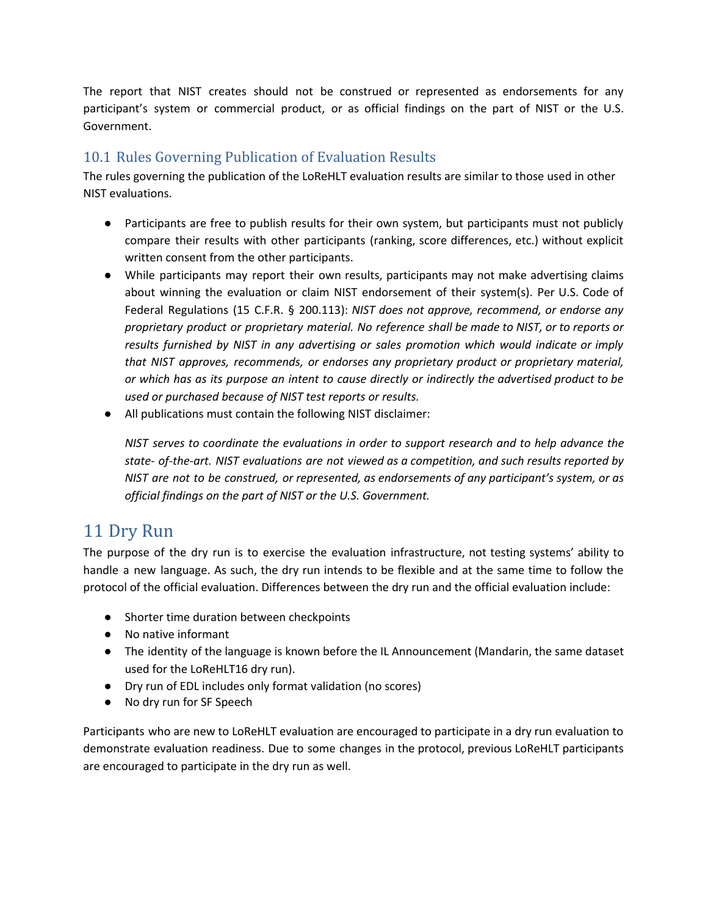The report that NIST creates should not be construed or represented as endorsements for any participant's system or commercial product, or as official findings on the part of NIST or the U.S. Government.

### 10.1 Rules Governing Publication of Evaluation Results

The rules governing the publication of the LoReHLT evaluation results are similar to those used in other NIST evaluations.

- Participants are free to publish results for their own system, but participants must not publicly compare their results with other participants (ranking, score differences, etc.) without explicit written consent from the other participants.
- While participants may report their own results, participants may not make advertising claims about winning the evaluation or claim NIST endorsement of their system(s). Per U.S. Code of Federal Regulations (15 C.F.R. § 200.113): *NIST does not approve, recommend, or endorse any proprietary product or proprietary material. No reference shall be made to NIST, or to reports or results furnished by NIST in any advertising or sales promotion which would indicate or imply that NIST approves, recommends, or endorses any proprietary product or proprietary material, or which has as its purpose an intent to cause directly or indirectly the advertised product to be used or purchased because of NIST test reports or results.*
- All publications must contain the following NIST disclaimer:

*NIST serves to coordinate the evaluations in order to support research and to help advance the state- of-the-art. NIST evaluations are not viewed as a competition, and such results reported by NIST are not to be construed, or represented, as endorsements of any participant's system, or as official findings on the part of NIST or the U.S. Government.*

## 11 Dry Run

The purpose of the dry run is to exercise the evaluation infrastructure, not testing systems' ability to handle a new language. As such, the dry run intends to be flexible and at the same time to follow the protocol of the official evaluation. Differences between the dry run and the official evaluation include:

- Shorter time duration between checkpoints
- No native informant
- The identity of the language is known before the IL Announcement (Mandarin, the same dataset used for the LoReHLT16 dry run).
- Dry run of EDL includes only format validation (no scores)
- No dry run for SF Speech

Participants who are new to LoReHLT evaluation are encouraged to participate in a dry run evaluation to demonstrate evaluation readiness. Due to some changes in the protocol, previous LoReHLT participants are encouraged to participate in the dry run as well.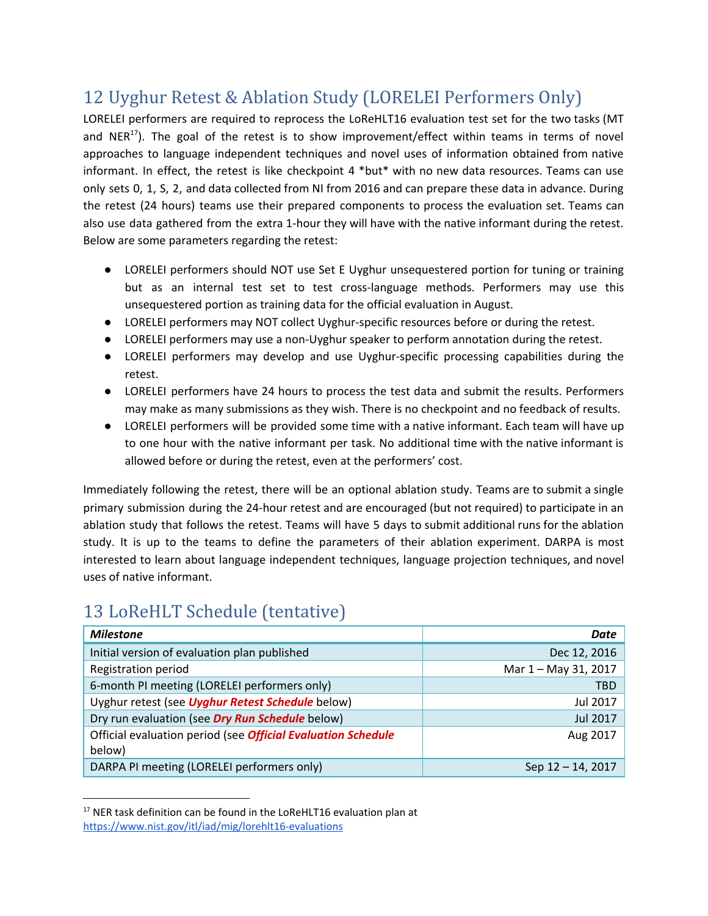## 12 Uyghur Retest & Ablation Study (LORELEI Performers Only)

LORELEI performers are required to reprocess the LoReHLT16 evaluation test set for the two tasks (MT and NER<sup>17</sup>). The goal of the retest is to show improvement/effect within teams in terms of novel approaches to language independent techniques and novel uses of information obtained from native informant. In effect, the retest is like checkpoint 4 \*but\* with no new data resources. Teams can use only sets 0, 1, S, 2, and data collected from NI from 2016 and can prepare these data in advance. During the retest (24 hours) teams use their prepared components to process the evaluation set. Teams can also use data gathered from the extra 1-hour they will have with the native informant during the retest. Below are some parameters regarding the retest:

- LORELEI performers should NOT use Set E Uyghur unsequestered portion for tuning or training but as an internal test set to test cross-language methods. Performers may use this unsequestered portion as training data for the official evaluation in August.
- LORELEI performers may NOT collect Uyghur-specific resources before or during the retest.
- LORELEI performers may use a non-Uyghur speaker to perform annotation during the retest.
- LORELEI performers may develop and use Uyghur-specific processing capabilities during the retest.
- LORELEI performers have 24 hours to process the test data and submit the results. Performers may make as many submissions as they wish. There is no checkpoint and no feedback of results.
- LORELEI performers will be provided some time with a native informant. Each team will have up to one hour with the native informant per task. No additional time with the native informant is allowed before or during the retest, even at the performers' cost.

Immediately following the retest, there will be an optional ablation study. Teams are to submit a single primary submission during the 24-hour retest and are encouraged (but not required) to participate in an ablation study that follows the retest. Teams will have 5 days to submit additional runs for the ablation study. It is up to the teams to define the parameters of their ablation experiment. DARPA is most interested to learn about language independent techniques, language projection techniques, and novel uses of native informant.

## 13 LoReHLT Schedule (tentative)

| <b>Milestone</b>                                                    | Date                 |
|---------------------------------------------------------------------|----------------------|
| Initial version of evaluation plan published                        | Dec 12, 2016         |
| Registration period                                                 | Mar 1 - May 31, 2017 |
| 6-month PI meeting (LORELEI performers only)                        | <b>TBD</b>           |
| Uyghur retest (see Uyghur Retest Schedule below)                    | Jul 2017             |
| Dry run evaluation (see Dry Run Schedule below)                     | <b>Jul 2017</b>      |
| Official evaluation period (see <i>Official Evaluation Schedule</i> | Aug 2017             |
| below)                                                              |                      |
| DARPA PI meeting (LORELEI performers only)                          | Sep 12 - 14, 2017    |

 $17$  NER task definition can be found in the LoReHLT16 evaluation plan at <https://www.nist.gov/itl/iad/mig/lorehlt16-evaluations>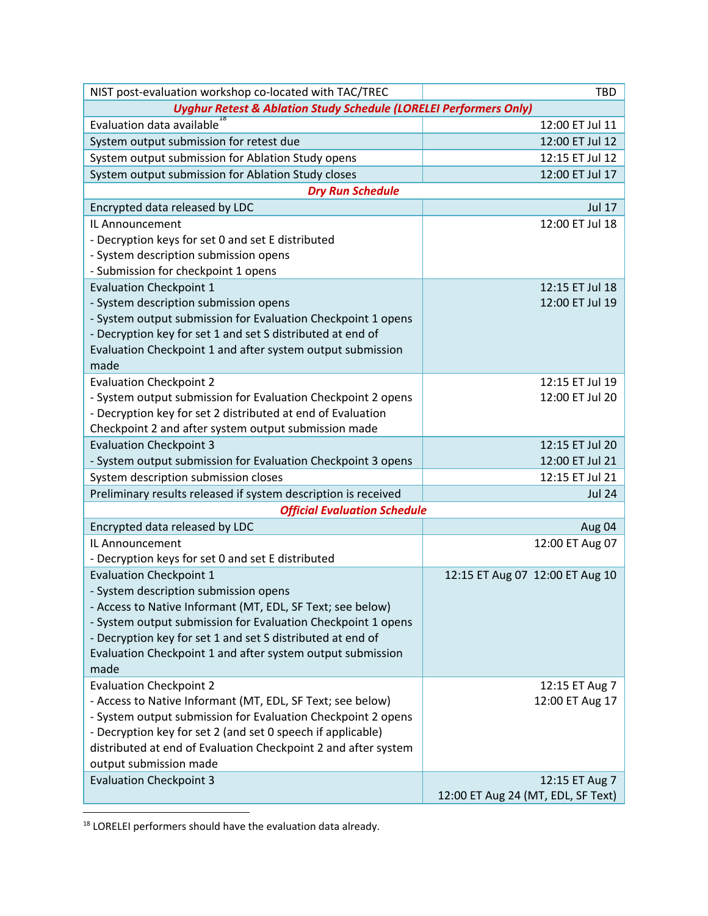| NIST post-evaluation workshop co-located with TAC/TREC                                              | <b>TBD</b>                         |
|-----------------------------------------------------------------------------------------------------|------------------------------------|
| <b>Uyghur Retest &amp; Ablation Study Schedule (LORELEI Performers Only)</b>                        |                                    |
| Evaluation data available                                                                           | 12:00 ET Jul 11                    |
| System output submission for retest due                                                             | 12:00 ET Jul 12                    |
| System output submission for Ablation Study opens                                                   | 12:15 ET Jul 12                    |
| System output submission for Ablation Study closes                                                  | 12:00 ET Jul 17                    |
| <b>Dry Run Schedule</b>                                                                             |                                    |
| Encrypted data released by LDC                                                                      | <b>Jul 17</b>                      |
| IL Announcement                                                                                     | 12:00 ET Jul 18                    |
| - Decryption keys for set 0 and set E distributed                                                   |                                    |
| - System description submission opens                                                               |                                    |
| - Submission for checkpoint 1 opens                                                                 |                                    |
| <b>Evaluation Checkpoint 1</b>                                                                      | 12:15 ET Jul 18                    |
| - System description submission opens                                                               | 12:00 ET Jul 19                    |
| - System output submission for Evaluation Checkpoint 1 opens                                        |                                    |
| - Decryption key for set 1 and set S distributed at end of                                          |                                    |
| Evaluation Checkpoint 1 and after system output submission                                          |                                    |
| made                                                                                                |                                    |
| <b>Evaluation Checkpoint 2</b>                                                                      | 12:15 ET Jul 19                    |
| - System output submission for Evaluation Checkpoint 2 opens                                        | 12:00 ET Jul 20                    |
| - Decryption key for set 2 distributed at end of Evaluation                                         |                                    |
| Checkpoint 2 and after system output submission made                                                |                                    |
| <b>Evaluation Checkpoint 3</b>                                                                      | 12:15 ET Jul 20                    |
| - System output submission for Evaluation Checkpoint 3 opens                                        | 12:00 ET Jul 21                    |
| System description submission closes                                                                | 12:15 ET Jul 21                    |
| Preliminary results released if system description is received                                      | <b>Jul 24</b>                      |
| <b>Official Evaluation Schedule</b>                                                                 |                                    |
| Encrypted data released by LDC                                                                      | Aug 04                             |
| IL Announcement                                                                                     | 12:00 ET Aug 07                    |
| - Decryption keys for set 0 and set E distributed                                                   |                                    |
| <b>Evaluation Checkpoint 1</b>                                                                      | 12:15 ET Aug 07 12:00 ET Aug 10    |
| - System description submission opens<br>- Access to Native Informant (MT, EDL, SF Text; see below) |                                    |
| - System output submission for Evaluation Checkpoint 1 opens                                        |                                    |
| - Decryption key for set 1 and set S distributed at end of                                          |                                    |
| Evaluation Checkpoint 1 and after system output submission                                          |                                    |
| made                                                                                                |                                    |
| <b>Evaluation Checkpoint 2</b>                                                                      | 12:15 ET Aug 7                     |
| - Access to Native Informant (MT, EDL, SF Text; see below)                                          | 12:00 ET Aug 17                    |
| - System output submission for Evaluation Checkpoint 2 opens                                        |                                    |
| - Decryption key for set 2 (and set 0 speech if applicable)                                         |                                    |
| distributed at end of Evaluation Checkpoint 2 and after system                                      |                                    |
| output submission made                                                                              |                                    |
| <b>Evaluation Checkpoint 3</b>                                                                      | 12:15 ET Aug 7                     |
|                                                                                                     | 12:00 ET Aug 24 (MT, EDL, SF Text) |
|                                                                                                     |                                    |

 $18$  LORELEI performers should have the evaluation data already.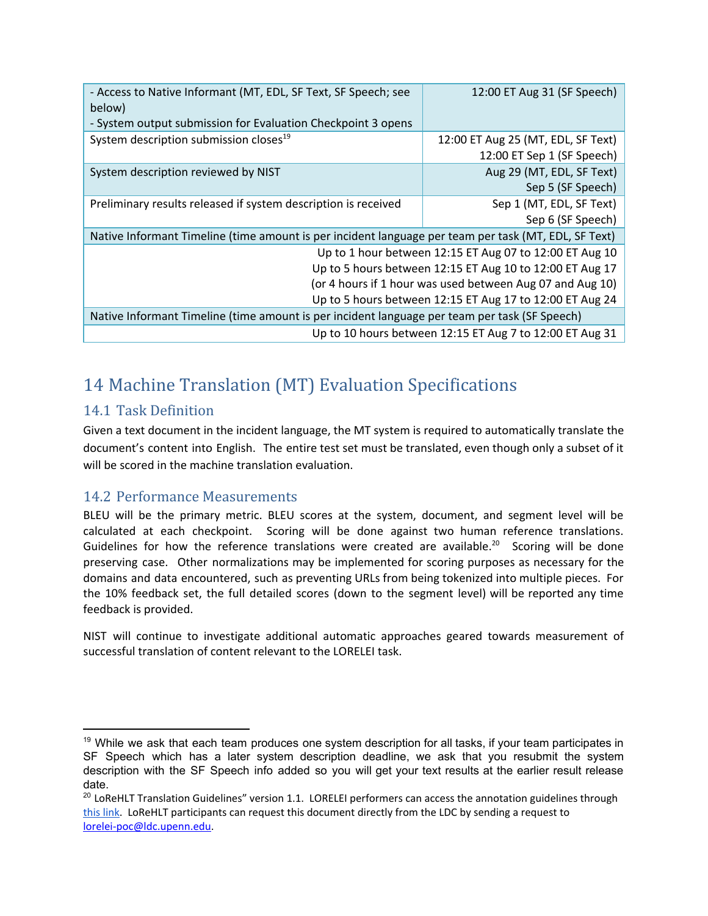| - Access to Native Informant (MT, EDL, SF Text, SF Speech; see<br>below)<br>- System output submission for Evaluation Checkpoint 3 opens | 12:00 ET Aug 31 (SF Speech)                                      |  |  |  |
|------------------------------------------------------------------------------------------------------------------------------------------|------------------------------------------------------------------|--|--|--|
| System description submission closes <sup>19</sup>                                                                                       | 12:00 ET Aug 25 (MT, EDL, SF Text)<br>12:00 ET Sep 1 (SF Speech) |  |  |  |
| System description reviewed by NIST                                                                                                      | Aug 29 (MT, EDL, SF Text)<br>Sep 5 (SF Speech)                   |  |  |  |
| Preliminary results released if system description is received                                                                           | Sep 1 (MT, EDL, SF Text)<br>Sep 6 (SF Speech)                    |  |  |  |
| Native Informant Timeline (time amount is per incident language per team per task (MT, EDL, SF Text)                                     |                                                                  |  |  |  |
| Up to 1 hour between 12:15 ET Aug 07 to 12:00 ET Aug 10                                                                                  |                                                                  |  |  |  |
| Up to 5 hours between 12:15 ET Aug 10 to 12:00 ET Aug 17                                                                                 |                                                                  |  |  |  |
| (or 4 hours if 1 hour was used between Aug 07 and Aug 10)                                                                                |                                                                  |  |  |  |
| Up to 5 hours between 12:15 ET Aug 17 to 12:00 ET Aug 24                                                                                 |                                                                  |  |  |  |
| Native Informant Timeline (time amount is per incident language per team per task (SF Speech)                                            |                                                                  |  |  |  |
| Up to 10 hours between 12:15 ET Aug 7 to 12:00 ET Aug 31                                                                                 |                                                                  |  |  |  |

## <span id="page-13-0"></span>14 Machine Translation (MT) Evaluation Specifications

### 14.1 Task Definition

Given a text document in the incident language, the MT system is required to automatically translate the document's content into English. The entire test set must be translated, even though only a subset of it will be scored in the machine translation evaluation.

### 14.2 Performance Measurements

BLEU will be the primary metric. BLEU scores at the system, document, and segment level will be calculated at each checkpoint. Scoring will be done against two human reference translations. Guidelines for how the reference translations were created are available.<sup>20</sup> Scoring will be done preserving case. Other normalizations may be implemented for scoring purposes as necessary for the domains and data encountered, such as preventing URLs from being tokenized into multiple pieces. For the 10% feedback set, the full detailed scores (down to the segment level) will be reported any time feedback is provided.

NIST will continue to investigate additional automatic approaches geared towards measurement of successful translation of content relevant to the LORELEI task.

 $19$  While we ask that each team produces one system description for all tasks, if your team participates in SF Speech which has a later system description deadline, we ask that you resubmit the system description with the SF Speech info added so you will get your text results at the earlier result release date.

 $^{20}$  LoReHLT Translation Guidelines" version 1.1. LORELEI performers can access the annotation guidelines through this [link.](https://xnet2.nextcentury.com/confluence/download/attachments/10650346/SituationFrameGuidelines_V3.0.pdf) LoReHLT participants can request this document directly from the LDC by sending a request to [lorelei-poc@ldc.upenn.edu.](mailto:lorelei-poc@ldc.upenn.edu)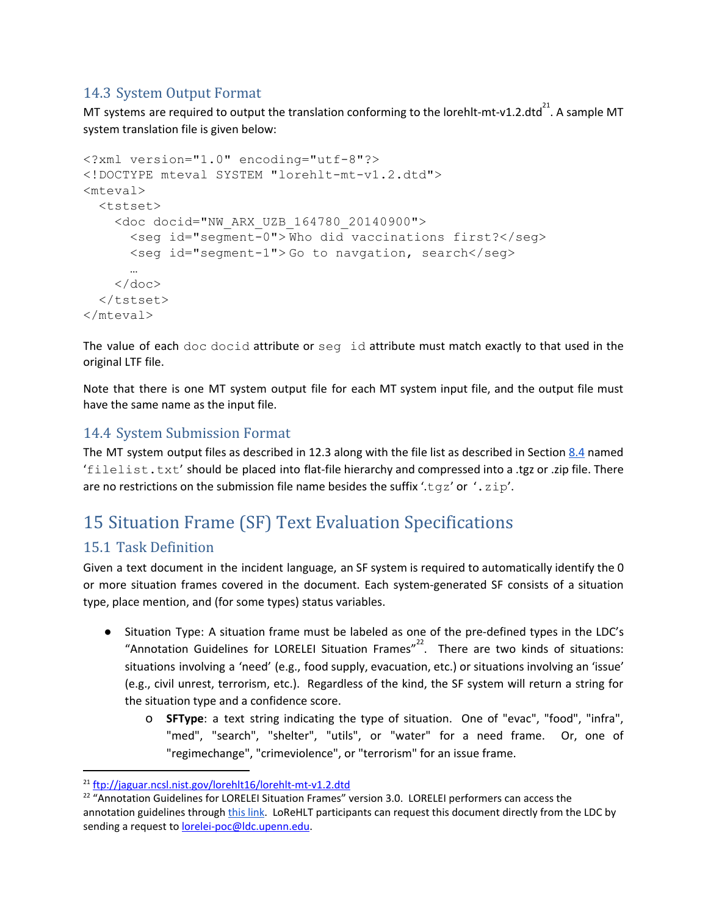### 14.3 System Output Format

MT systems are required to output the translation conforming to the lorehlt-mt-v1.2.dtd<sup>21</sup>. A sample MT system translation file is given below:

```
<?xml version="1.0" encoding="utf-8"?>
<!DOCTYPE mteval SYSTEM "lorehlt-mt-v1.2.dtd">
<mteval>
  <tstset>
    <doc docid="NW_ARX_UZB_164780_20140900">
      <seg id="segment-0"> Who did vaccinations first?</seg>
      <seg id="segment-1"> Go to navgation, search</seg>
      …
    \langle doc\rangle</tstset>
</mteval>
```
The value of each doc docid attribute or seg id attribute must match exactly to that used in the original LTF file.

Note that there is one MT system output file for each MT system input file, and the output file must have the same name as the input file.

### 14.4 System Submission Format

The MT system output files as described in 12.3 along with the file list as described in Section [8.4](#page-8-0) named 'filelist.txt' should be placed into flat-file hierarchy and compressed into a .tgz or .zip file. There are no restrictions on the submission file name besides the suffix '.tgz' or '.zip'.

## <span id="page-14-0"></span>15 Situation Frame (SF) Text Evaluation Specifications

### 15.1 Task Definition

Given a text document in the incident language, an SF system is required to automatically identify the 0 or more situation frames covered in the document. Each system-generated SF consists of a situation type, place mention, and (for some types) status variables.

- Situation Type: A situation frame must be labeled as one of the pre-defined types in the LDC's "Annotation Guidelines for LORELEI Situation Frames" $^{22}$ . There are two kinds of situations: situations involving a 'need' (e.g., food supply, evacuation, etc.) or situations involving an 'issue' (e.g., civil unrest, terrorism, etc.). Regardless of the kind, the SF system will return a string for the situation type and a confidence score.
	- o **SFType**: a text string indicating the type of situation. One of "evac", "food", "infra", "med", "search", "shelter", "utils", or "water" for a need frame. Or, one of "regimechange", "crimeviolence", or "terrorism" for an issue frame.

<sup>21</sup> <ftp://jaguar.ncsl.nist.gov/lorehlt16/lorehlt-mt-v1.2.dtd>

<sup>&</sup>lt;sup>22</sup> "Annotation Guidelines for LORELEI Situation Frames" version 3.0. LORELEI performers can access the annotation guidelines through this [link.](https://xnet2.nextcentury.com/confluence/download/attachments/10650346/SituationFrameGuidelines_V3.0.pdf) LoReHLT participants can request this document directly from the LDC by sending a request to [lorelei-poc@ldc.upenn.edu.](mailto:lorelei-poc@ldc.upenn.edu)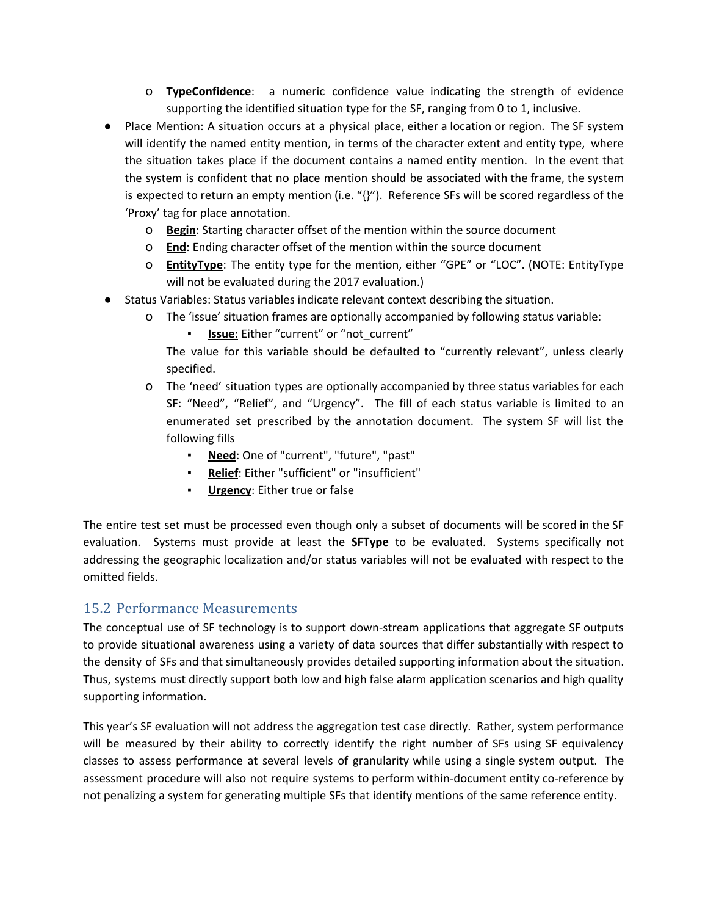- o **TypeConfidence**: a numeric confidence value indicating the strength of evidence supporting the identified situation type for the SF, ranging from 0 to 1, inclusive.
- Place Mention: A situation occurs at a physical place, either a location or region. The SF system will identify the named entity mention, in terms of the character extent and entity type, where the situation takes place if the document contains a named entity mention. In the event that the system is confident that no place mention should be associated with the frame, the system is expected to return an empty mention (i.e. "{}"). Reference SFs will be scored regardless of the 'Proxy' tag for place annotation.
	- o **Begin**: Starting character offset of the mention within the source document
	- o **End**: Ending character offset of the mention within the source document
	- o **EntityType**: The entity type for the mention, either "GPE" or "LOC". (NOTE: EntityType will not be evaluated during the 2017 evaluation.)
- Status Variables: Status variables indicate relevant context describing the situation.
	- o The 'issue' situation frames are optionally accompanied by following status variable:
		- **Issue:** Either "current" or "not\_current"

The value for this variable should be defaulted to "currently relevant", unless clearly specified.

- o The 'need' situation types are optionally accompanied by three status variables for each SF: "Need", "Relief", and "Urgency". The fill of each status variable is limited to an enumerated set prescribed by the annotation document. The system SF will list the following fills
	- **Need**: One of "current", "future", "past"
	- **Relief**: Either "sufficient" or "insufficient"
	- **Urgency:** Either true or false

The entire test set must be processed even though only a subset of documents will be scored in the SF evaluation. Systems must provide at least the **SFType** to be evaluated. Systems specifically not addressing the geographic localization and/or status variables will not be evaluated with respect to the omitted fields.

### 15.2 Performance Measurements

The conceptual use of SF technology is to support down-stream applications that aggregate SF outputs to provide situational awareness using a variety of data sources that differ substantially with respect to the density of SFs and that simultaneously provides detailed supporting information about the situation. Thus, systems must directly support both low and high false alarm application scenarios and high quality supporting information.

This year's SF evaluation will not address the aggregation test case directly. Rather, system performance will be measured by their ability to correctly identify the right number of SFs using SF equivalency classes to assess performance at several levels of granularity while using a single system output. The assessment procedure will also not require systems to perform within-document entity co-reference by not penalizing a system for generating multiple SFs that identify mentions of the same reference entity.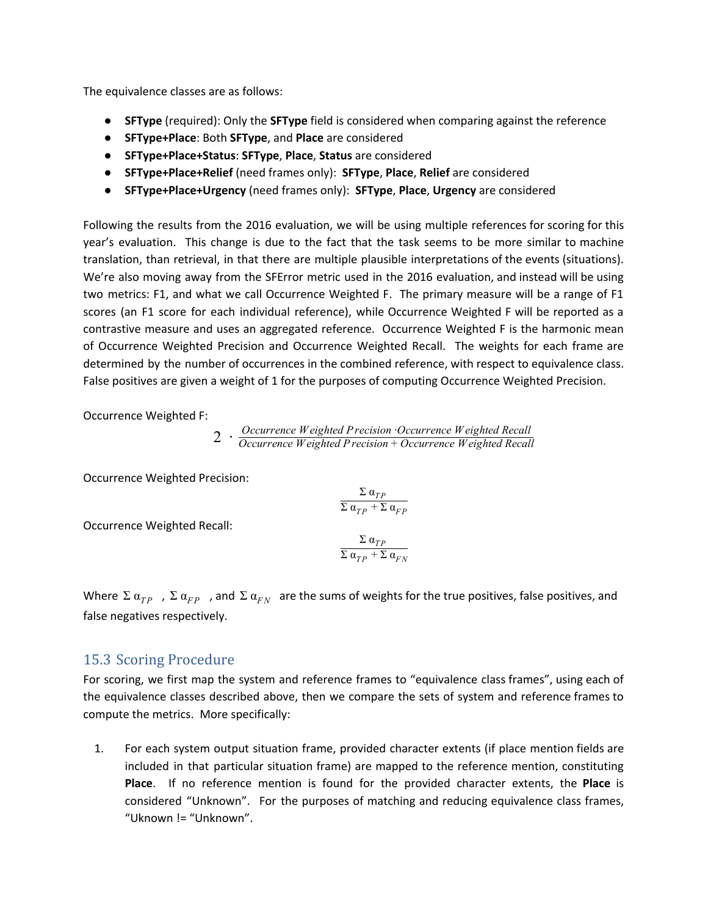The equivalence classes are as follows:

- **● SFType** (required): Only the **SFType** field is considered when comparing against the reference
- **● SFType+Place**: Both **SFType**, and **Place** are considered
- **● SFType+Place+Status**: **SFType**, **Place**, **Status** are considered
- **● SFType+Place+Relief** (need frames only): **SFType**, **Place**, **Relief** are considered
- **● SFType+Place+Urgency** (need frames only): **SFType**, **Place**, **Urgency** are considered

Following the results from the 2016 evaluation, we will be using multiple references for scoring for this year's evaluation. This change is due to the fact that the task seems to be more similar to machine translation, than retrieval, in that there are multiple plausible interpretations of the events (situations). We're also moving away from the SFError metric used in the 2016 evaluation, and instead will be using two metrics: F1, and what we call Occurrence Weighted F. The primary measure will be a range of F1 scores (an F1 score for each individual reference), while Occurrence Weighted F will be reported as a contrastive measure and uses an aggregated reference. Occurrence Weighted F is the harmonic mean of Occurrence Weighted Precision and Occurrence Weighted Recall. The weights for each frame are determined by the number of occurrences in the combined reference, with respect to equivalence class. False positives are given a weight of 1 for the purposes of computing Occurrence Weighted Precision.

Occurrence Weighted F:

2 · *Occurrence Weighted Precision* ·*Occurrence Weighted Recall Occurrence Weighted Precision* + *Occurrence Weighted Recall*

Occurrence Weighted Precision:

$$
\frac{\Sigma \, \alpha_{TP}}{\Sigma \, \alpha_{TP} + \Sigma \, \alpha_{FP}}
$$

Occurrence Weighted Recall:

$$
\frac{\Sigma\;\alpha_{TP}}{\Sigma\;\alpha_{TP}+\Sigma\;\alpha_{FN}}
$$

Where  $\Sigma$   $\alpha_{FP}$ ,  $\Sigma$   $\alpha_{FP}$ , and  $\Sigma$   $\alpha_{FN}$  are the sums of weights for the true positives, false positives, and false negatives respectively.

### 15.3 Scoring Procedure

For scoring, we first map the system and reference frames to "equivalence class frames", using each of the equivalence classes described above, then we compare the sets of system and reference frames to compute the metrics. More specifically:

1. For each system output situation frame, provided character extents (if place mention fields are included in that particular situation frame) are mapped to the reference mention, constituting **Place**. If no reference mention is found for the provided character extents, the **Place** is considered "Unknown". For the purposes of matching and reducing equivalence class frames, "Uknown != "Unknown".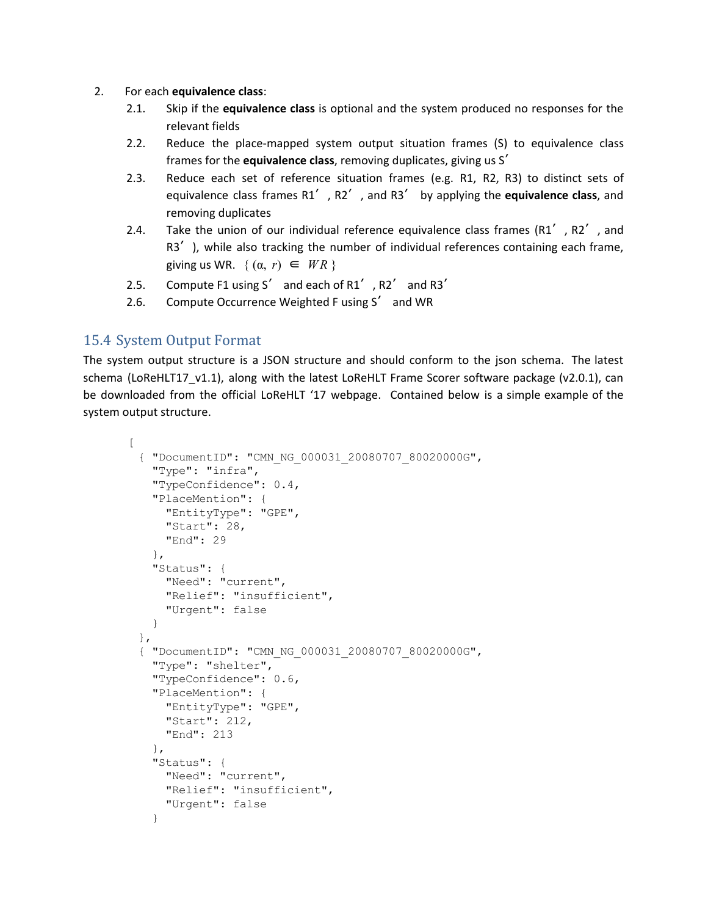- 2. For each **equivalence class**:
	- 2.1. Skip if the **equivalence class** is optional and the system produced no responses for the relevant fields
	- 2.2. Reduce the place-mapped system output situation frames (S) to equivalence class frames for the **equivalence class**, removing duplicates, giving us S′
	- 2.3. Reduce each set of reference situation frames (e.g. R1, R2, R3) to distinct sets of equivalence class frames R1′, R2′, and R3′ by applying the **equivalence class**, and removing duplicates
	- 2.4. Take the union of our individual reference equivalence class frames  $(R1'$ ,  $R2'$ , and R3<sup>'</sup>), while also tracking the number of individual references containing each frame, giving us WR.  $\{(\alpha, r) \in \textit{WR}\}\$
	- 2.5. Compute F1 using S' and each of R1', R2' and R3'
	- 2.6. Compute Occurrence Weighted F using S′ and WR

### <span id="page-17-0"></span>15.4 System Output Format

The system output structure is a JSON structure and should conform to the json schema. The latest schema (LoReHLT17 v1.1), along with the latest LoReHLT Frame Scorer software package (v2.0.1), can be downloaded from the official LoReHLT '17 webpage. Contained below is a simple example of the system output structure.

```
\lceil{ "DocumentID": "CMN_NG_000031_20080707_80020000G",
   "Type": "infra",
   "TypeConfidence": 0.4,
   "PlaceMention": {
     "EntityType": "GPE",
     "Start": 28,
     "End": 29
   },
   "Status": {
     "Need": "current",
     "Relief": "insufficient",
     "Urgent": false
   }
 },
 { "DocumentID": "CMN_NG_000031_20080707_80020000G",
   "Type": "shelter",
   "TypeConfidence": 0.6,
   "PlaceMention": {
     "EntityType": "GPE",
     "Start": 212,
     "End": 213
   },
   "Status": {
     "Need": "current",
     "Relief": "insufficient",
     "Urgent": false
   }
```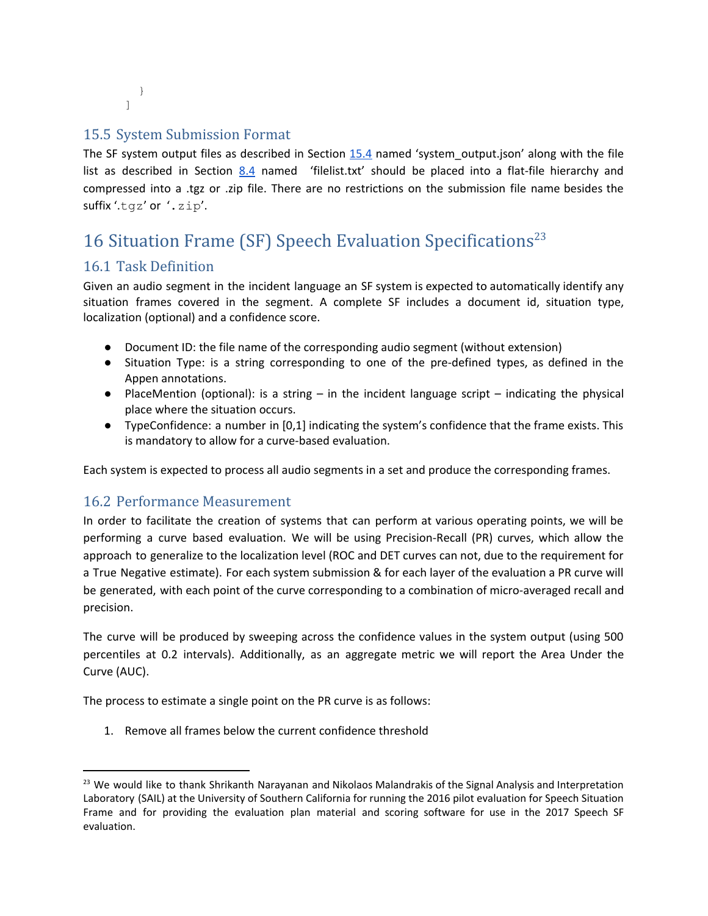} ]

### 15.5 System Submission Format

The SF system output files as described in Section [15.4](#page-17-0) named 'system\_output.json' along with the file list as described in Section [8.4](#page-8-0) named 'filelist.txt' should be placed into a flat-file hierarchy and compressed into a .tgz or .zip file. There are no restrictions on the submission file name besides the suffix '.tgz' or '.zip'.

## <span id="page-18-0"></span>16 Situation Frame (SF) Speech Evaluation Specifications 23

### 16.1 Task Definition

Given an audio segment in the incident language an SF system is expected to automatically identify any situation frames covered in the segment. A complete SF includes a document id, situation type, localization (optional) and a confidence score.

- Document ID: the file name of the corresponding audio segment (without extension)
- Situation Type: is a string corresponding to one of the pre-defined types, as defined in the Appen annotations.
- PlaceMention (optional): is a string in the incident language script indicating the physical place where the situation occurs.
- TypeConfidence: a number in [0,1] indicating the system's confidence that the frame exists. This is mandatory to allow for a curve-based evaluation.

Each system is expected to process all audio segments in a set and produce the corresponding frames.

### 16.2 Performance Measurement

In order to facilitate the creation of systems that can perform at various operating points, we will be performing a curve based evaluation. We will be using Precision-Recall (PR) curves, which allow the approach to generalize to the localization level (ROC and DET curves can not, due to the requirement for a True Negative estimate). For each system submission & for each layer of the evaluation a PR curve will be generated, with each point of the curve corresponding to a combination of micro-averaged recall and precision.

The curve will be produced by sweeping across the confidence values in the system output (using 500 percentiles at 0.2 intervals). Additionally, as an aggregate metric we will report the Area Under the Curve (AUC).

The process to estimate a single point on the PR curve is as follows:

1. Remove all frames below the current confidence threshold

<sup>&</sup>lt;sup>23</sup> We would like to thank Shrikanth Narayanan and Nikolaos Malandrakis of the Signal Analysis and Interpretation Laboratory (SAIL) at the University of Southern California for running the 2016 pilot evaluation for Speech Situation Frame and for providing the evaluation plan material and scoring software for use in the 2017 Speech SF evaluation.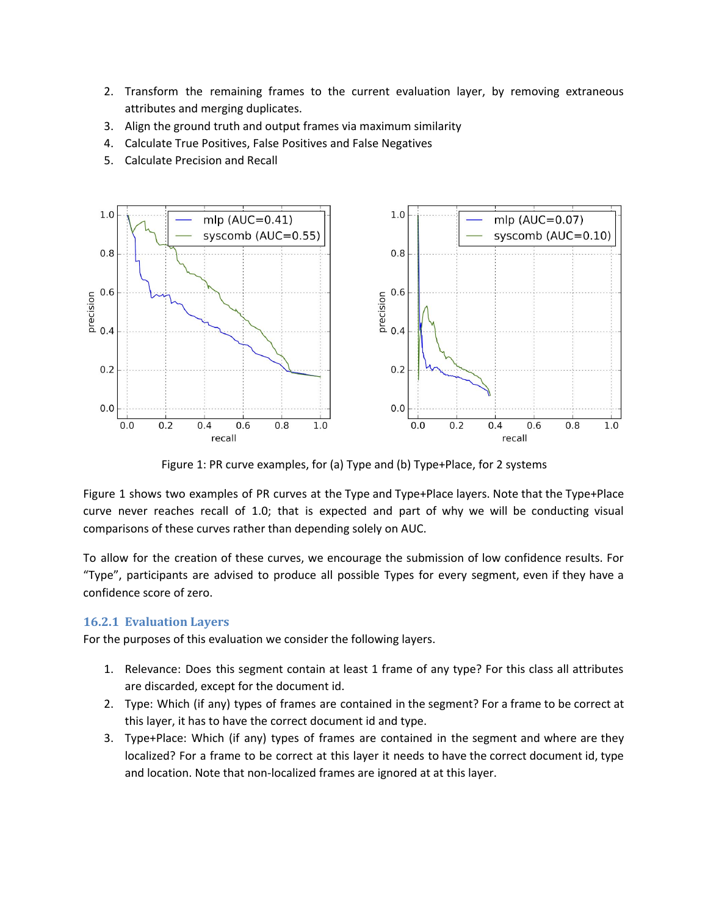- 2. Transform the remaining frames to the current evaluation layer, by removing extraneous attributes and merging duplicates.
- 3. Align the ground truth and output frames via maximum similarity
- 4. Calculate True Positives, False Positives and False Negatives
- 5. Calculate Precision and Recall



Figure 1: PR curve examples, for (a) Type and (b) Type+Place, for 2 systems

Figure 1 shows two examples of PR curves at the Type and Type+Place layers. Note that the Type+Place curve never reaches recall of 1.0; that is expected and part of why we will be conducting visual comparisons of these curves rather than depending solely on AUC.

To allow for the creation of these curves, we encourage the submission of low confidence results. For "Type", participants are advised to produce all possible Types for every segment, even if they have a confidence score of zero.

#### **16.2.1 Evaluation Layers**

For the purposes of this evaluation we consider the following layers.

- 1. Relevance: Does this segment contain at least 1 frame of any type? For this class all attributes are discarded, except for the document id.
- 2. Type: Which (if any) types of frames are contained in the segment? For a frame to be correct at this layer, it has to have the correct document id and type.
- 3. Type+Place: Which (if any) types of frames are contained in the segment and where are they localized? For a frame to be correct at this layer it needs to have the correct document id, type and location. Note that non-localized frames are ignored at at this layer.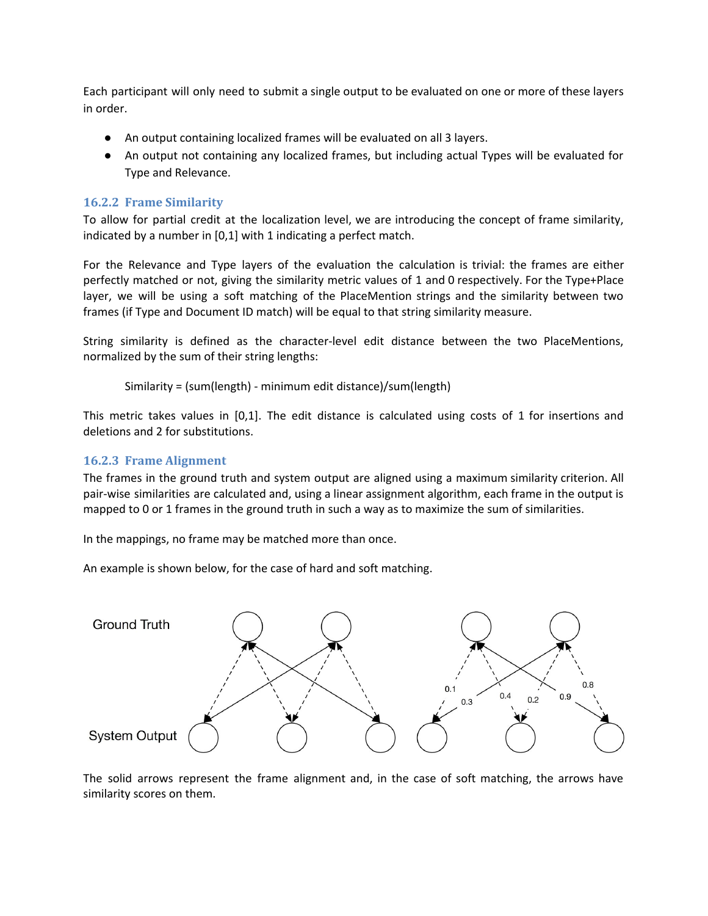Each participant will only need to submit a single output to be evaluated on one or more of these layers in order.

- An output containing localized frames will be evaluated on all 3 layers.
- An output not containing any localized frames, but including actual Types will be evaluated for Type and Relevance.

#### **16.2.2 Frame Similarity**

To allow for partial credit at the localization level, we are introducing the concept of frame similarity, indicated by a number in [0,1] with 1 indicating a perfect match.

For the Relevance and Type layers of the evaluation the calculation is trivial: the frames are either perfectly matched or not, giving the similarity metric values of 1 and 0 respectively. For the Type+Place layer, we will be using a soft matching of the PlaceMention strings and the similarity between two frames (if Type and Document ID match) will be equal to that string similarity measure.

String similarity is defined as the character-level edit distance between the two PlaceMentions, normalized by the sum of their string lengths:

Similarity = (sum(length) - minimum edit distance)/sum(length)

This metric takes values in [0,1]. The edit distance is calculated using costs of 1 for insertions and deletions and 2 for substitutions.

#### **16.2.3 Frame Alignment**

The frames in the ground truth and system output are aligned using a maximum similarity criterion. All pair-wise similarities are calculated and, using a linear assignment algorithm, each frame in the output is mapped to 0 or 1 frames in the ground truth in such a way as to maximize the sum of similarities.

In the mappings, no frame may be matched more than once.

An example is shown below, for the case of hard and soft matching.



The solid arrows represent the frame alignment and, in the case of soft matching, the arrows have similarity scores on them.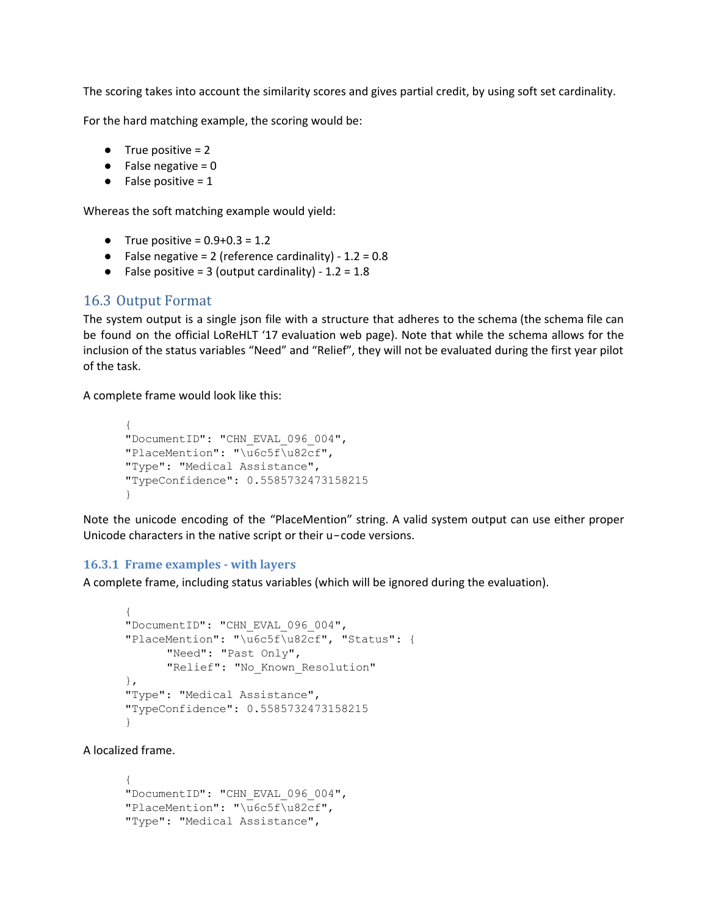The scoring takes into account the similarity scores and gives partial credit, by using soft set cardinality.

For the hard matching example, the scoring would be:

- $\bullet$  True positive = 2
- $\bullet$  False negative = 0
- $\bullet$  False positive = 1

Whereas the soft matching example would yield:

- True positive =  $0.9 + 0.3 = 1.2$
- False negative = 2 (reference cardinality)  $1.2 = 0.8$
- False positive = 3 (output cardinality)  $1.2 = 1.8$

### <span id="page-21-0"></span>16.3 Output Format

The system output is a single json file with a structure that adheres to the schema (the schema file can be found on the official LoReHLT '17 evaluation web page). Note that while the schema allows for the inclusion of the status variables "Need" and "Relief", they will not be evaluated during the first year pilot of the task.

A complete frame would look like this:

```
{
"DocumentID": "CHN_EVAL_096_004",
"PlaceMention": "\u6c5f\u82cf",
"Type": "Medical Assistance",
"TypeConfidence": 0.5585732473158215
}
```
Note the unicode encoding of the "PlaceMention" string. A valid system output can use either proper Unicode characters in the native script or their u−code versions.

#### **16.3.1 Frame examples - with layers**

A complete frame, including status variables (which will be ignored during the evaluation).

```
{
"DocumentID": "CHN_EVAL_096_004",
"PlaceMention": "\u6c5f\u82cf", "Status": {
      "Need": "Past Only",
      "Relief": "No Known Resolution"
},
"Type": "Medical Assistance",
"TypeConfidence": 0.5585732473158215
}
```
A localized frame.

```
{
"DocumentID": "CHN_EVAL_096_004",
"PlaceMention": "\u6c5f\u82cf",
"Type": "Medical Assistance",
```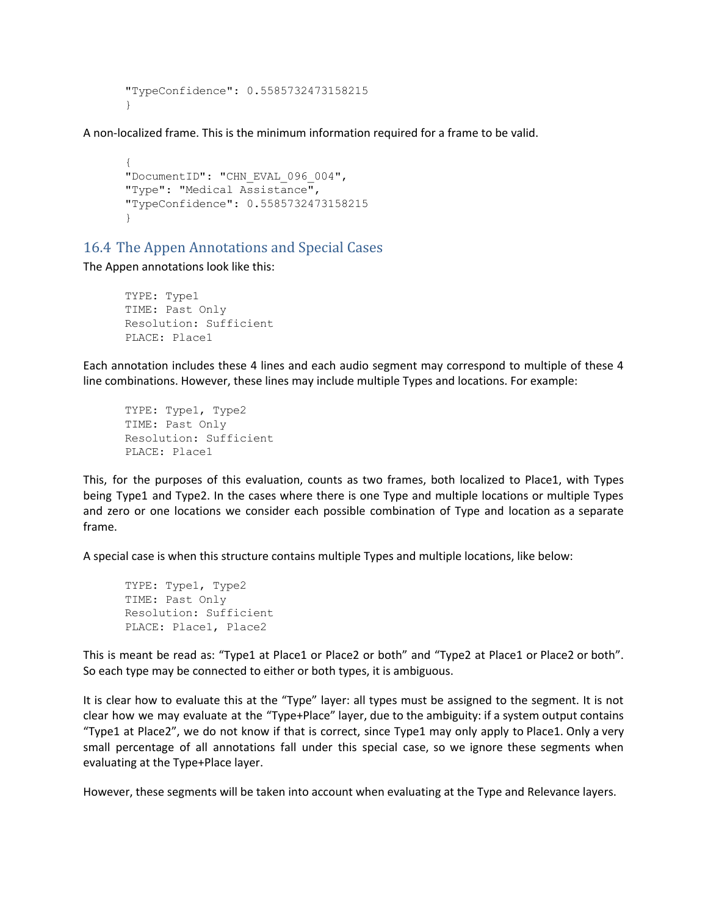```
"TypeConfidence": 0.5585732473158215
}
```
A non-localized frame. This is the minimum information required for a frame to be valid.

```
{
"DocumentID": "CHN_EVAL_096_004",
"Type": "Medical Assistance",
"TypeConfidence": 0.5585732473158215
}
```
### 16.4 The Appen Annotations and Special Cases

The Appen annotations look like this:

TYPE: Type1 TIME: Past Only Resolution: Sufficient PLACE: Place1

Each annotation includes these 4 lines and each audio segment may correspond to multiple of these 4 line combinations. However, these lines may include multiple Types and locations. For example:

TYPE: Type1, Type2 TIME: Past Only Resolution: Sufficient PLACE: Place1

This, for the purposes of this evaluation, counts as two frames, both localized to Place1, with Types being Type1 and Type2. In the cases where there is one Type and multiple locations or multiple Types and zero or one locations we consider each possible combination of Type and location as a separate frame.

A special case is when this structure contains multiple Types and multiple locations, like below:

```
TYPE: Type1, Type2
TIME: Past Only
Resolution: Sufficient
PLACE: Place1, Place2
```
This is meant be read as: "Type1 at Place1 or Place2 or both" and "Type2 at Place1 or Place2 or both". So each type may be connected to either or both types, it is ambiguous.

It is clear how to evaluate this at the "Type" layer: all types must be assigned to the segment. It is not clear how we may evaluate at the "Type+Place" layer, due to the ambiguity: if a system output contains "Type1 at Place2", we do not know if that is correct, since Type1 may only apply to Place1. Only a very small percentage of all annotations fall under this special case, so we ignore these segments when evaluating at the Type+Place layer.

However, these segments will be taken into account when evaluating at the Type and Relevance layers.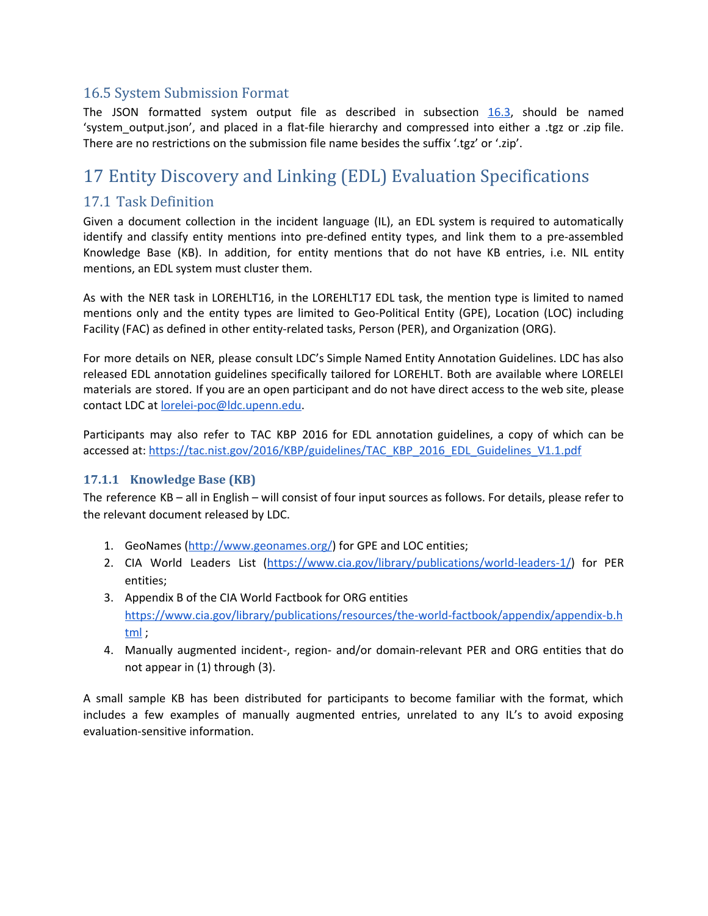### 16.5 System Submission Format

The JSON formatted system output file as described in subsection [16.3,](#page-21-0) should be named 'system\_output.json', and placed in a flat-file hierarchy and compressed into either a .tgz or .zip file. There are no restrictions on the submission file name besides the suffix '.tgz' or '.zip'.

## <span id="page-23-0"></span>17 Entity Discovery and Linking (EDL) Evaluation Specifications

### 17.1 Task Definition

Given a document collection in the incident language (IL), an EDL system is required to automatically identify and classify entity mentions into pre-defined entity types, and link them to a pre-assembled Knowledge Base (KB). In addition, for entity mentions that do not have KB entries, i.e. NIL entity mentions, an EDL system must cluster them.

As with the NER task in LOREHLT16, in the LOREHLT17 EDL task, the mention type is limited to named mentions only and the entity types are limited to Geo-Political Entity (GPE), Location (LOC) including Facility (FAC) as defined in other entity-related tasks, Person (PER), and Organization (ORG).

For more details on NER, please consult LDC's Simple Named Entity Annotation Guidelines. LDC has also released EDL annotation guidelines specifically tailored for LOREHLT. Both are available where LORELEI materials are stored. If you are an open participant and do not have direct access to the web site, please contact LDC at [lorelei-poc@ldc.upenn.edu.](mailto:lorelei-poc@ldc.upenn.edu)

Participants may also refer to TAC KBP 2016 for EDL annotation guidelines, a copy of which can be accessed at: [https://tac.nist.gov/2016/KBP/guidelines/TAC\\_KBP\\_2016\\_EDL\\_Guidelines\\_V1.1.pdf](https://tac.nist.gov/2016/KBP/guidelines/TAC_KBP_2016_EDL_Guidelines_V1.1.pdf)

#### **17.1.1 Knowledge Base (KB)**

The reference KB – all in English – will consist of four input sources as follows. For details, please refer to the relevant document released by LDC.

- 1. GeoNames ([http://www.geonames.org/\)](http://www.geonames.org/) for GPE and LOC entities;
- 2. CIA World Leaders List [\(https://www.cia.gov/library/publications/world-leaders-1/](https://www.cia.gov/library/publications/world-leaders-1/)) for PER entities;
- 3. Appendix B of the CIA World Factbook for ORG entities [https://www.cia.gov/library/publications/resources/the-world-factbook/appendix/appendix-b.h](https://www.cia.gov/library/publications/resources/the-world-factbook/appendix/appendix-b.html) [tml](https://www.cia.gov/library/publications/resources/the-world-factbook/appendix/appendix-b.html) ;
- 4. Manually augmented incident-, region- and/or domain-relevant PER and ORG entities that do not appear in (1) through (3).

A small sample KB has been distributed for participants to become familiar with the format, which includes a few examples of manually augmented entries, unrelated to any IL's to avoid exposing evaluation-sensitive information.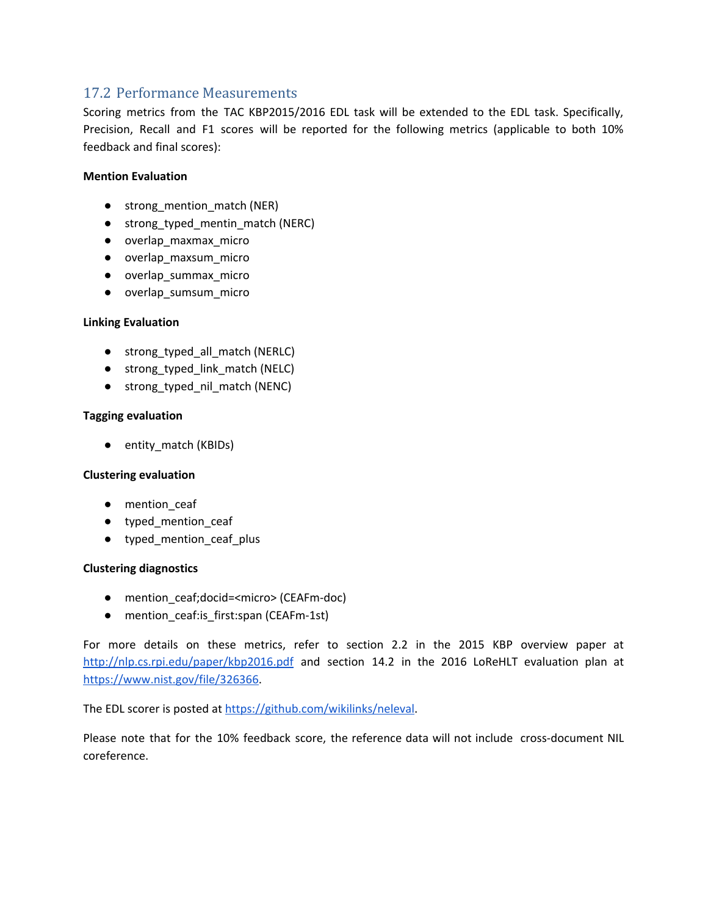### 17.2 Performance Measurements

Scoring metrics from the TAC KBP2015/2016 EDL task will be extended to the EDL task. Specifically, Precision, Recall and F1 scores will be reported for the following metrics (applicable to both 10% feedback and final scores):

#### **Mention Evaluation**

- strong\_mention\_match (NER)
- strong\_typed\_mentin\_match (NERC)
- overlap\_maxmax\_micro
- overlap\_maxsum\_micro
- overlap\_summax\_micro
- overlap\_sumsum\_micro

#### **Linking Evaluation**

- strong\_typed\_all\_match (NERLC)
- strong\_typed\_link\_match (NELC)
- strong\_typed\_nil\_match (NENC)

#### **Tagging evaluation**

● entity\_match (KBIDs)

#### **Clustering evaluation**

- mention ceaf
- typed\_mention\_ceaf
- typed\_mention\_ceaf\_plus

#### **Clustering diagnostics**

- mention\_ceaf;docid=<micro>(CEAFm-doc)
- mention\_ceaf:is\_first:span (CEAFm-1st)

For more details on these metrics, refer to section 2.2 in the 2015 KBP overview paper a[t](http://nlp.cs.rpi.edu/paper/kbp2016.pdf) <http://nlp.cs.rpi.edu/paper/kbp2016.pdf> and section 14.2 in the 2016 LoReHLT evaluation plan at [https://www.nist.gov/file/326366.](https://www.nist.gov/file/326366)

The EDL scorer is posted at [https://github.com/wikilinks/neleval.](https://github.com/wikilinks/neleval)

Please note that for the 10% feedback score, the reference data will not include cross-document NIL coreference.